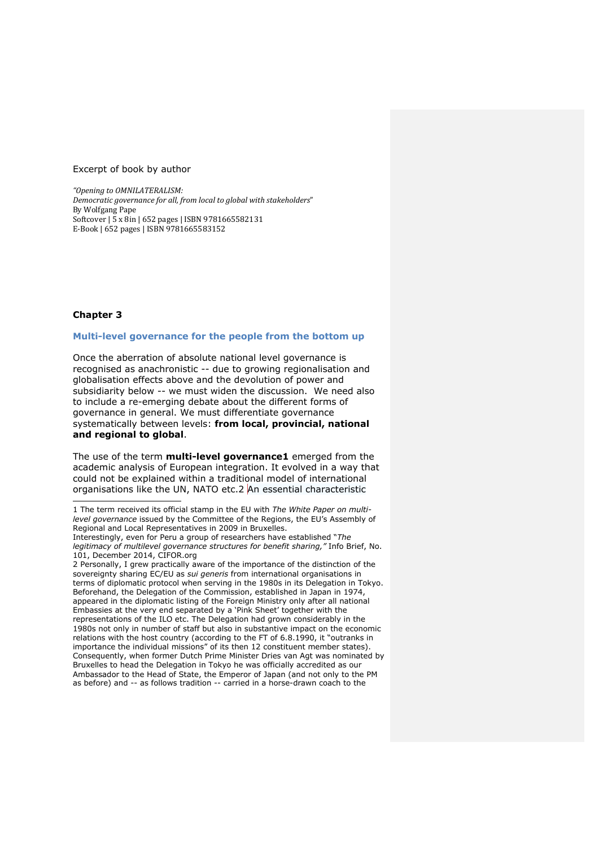# Excerpt of book by author

*"Opening to OMNILATERALISM: Democratic governance for all, from local to global with stakeholders"* By Wolfgang Pape Softcover | 5 x 8in | 652 pages | ISBN 9781665582131 E-Book | 652 pages | ISBN 9781665583152

# **Chapter 3**

# **Multi-level governance for the people from the bottom up**

Once the aberration of absolute national level governance is recognised as anachronistic -- due to growing regionalisation and globalisation effects above and the devolution of power and subsidiarity below -- we must widen the discussion. We need also to include a re-emerging debate about the different forms of governance in general. We must differentiate governance systematically between levels: **from local, provincial, national and regional to global**.

The use of the term **multi-level governance1** emerged from the academic analysis of European integration. It evolved in a way that could not be explained within a traditional model of international organisations like the UN, NATO etc.2 An essential characteristic

<sup>1</sup> The term received its official stamp in the EU with *The White Paper on multilevel governance* issued by the Committee of the Regions, the EU's Assembly of Regional and Local Representatives in 2009 in Bruxelles.

Interestingly, even for Peru a group of researchers have established "*The legitimacy of multilevel governance structures for benefit sharing,"* Info Brief, No. 101, December 2014, CIFOR.org

<sup>2</sup> Personally, I grew practically aware of the importance of the distinction of the sovereignty sharing EC/EU as *sui generis* from international organisations in terms of diplomatic protocol when serving in the 1980s in its Delegation in Tokyo. Beforehand, the Delegation of the Commission, established in Japan in 1974, appeared in the diplomatic listing of the Foreign Ministry only after all national Embassies at the very end separated by a 'Pink Sheet' together with the representations of the ILO etc. The Delegation had grown considerably in the 1980s not only in number of staff but also in substantive impact on the economic relations with the host country (according to the FT of 6.8.1990, it "outranks in importance the individual missions" of its then 12 constituent member states). Consequently, when former Dutch Prime Minister Dries van Agt was nominated by Bruxelles to head the Delegation in Tokyo he was officially accredited as our Ambassador to the Head of State, the Emperor of Japan (and not only to the PM as before) and -- as follows tradition -- carried in a horse-drawn coach to the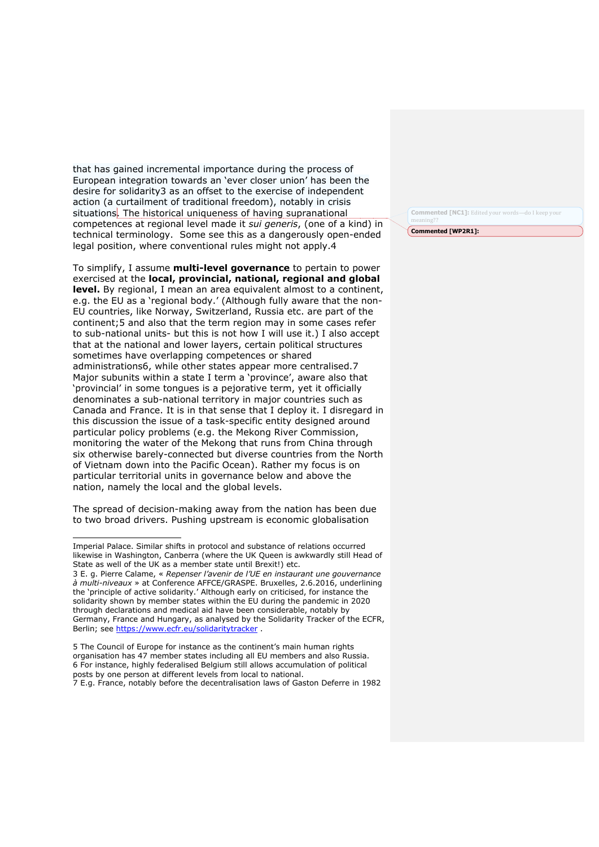that has gained incremental importance during the process of European integration towards an 'ever closer union' has been the desire for solidarity3 as an offset to the exercise of independent action (a curtailment of traditional freedom), notably in crisis situations. The historical uniqueness of having supranational competences at regional level made it *sui generis*, (one of a kind) in technical terminology. Some see this as a dangerously open-ended legal position, where conventional rules might not apply.4

To simplify, I assume **multi-level governance** to pertain to power exercised at the **local, provincial, national, regional and global level.** By regional, I mean an area equivalent almost to a continent, e.g. the EU as a 'regional body.' (Although fully aware that the non-EU countries, like Norway, Switzerland, Russia etc. are part of the continent;5 and also that the term region may in some cases refer to sub-national units- but this is not how I will use it.) I also accept that at the national and lower layers, certain political structures sometimes have overlapping competences or shared administrations6, while other states appear more centralised.7 Major subunits within a state I term a 'province', aware also that 'provincial' in some tongues is a pejorative term, yet it officially denominates a sub-national territory in major countries such as Canada and France. It is in that sense that I deploy it. I disregard in this discussion the issue of a task-specific entity designed around particular policy problems (e.g. the Mekong River Commission, monitoring the water of the Mekong that runs from China through six otherwise barely-connected but diverse countries from the North of Vietnam down into the Pacific Ocean). Rather my focus is on particular territorial units in governance below and above the nation, namely the local and the global levels.

The spread of decision-making away from the nation has been due to two broad drivers. Pushing upstream is economic globalisation

**Commented [NC1]:** Edited your words meaning??

**Commented [WP2R1]:** 

Imperial Palace. Similar shifts in protocol and substance of relations occurred likewise in Washington, Canberra (where the UK Queen is awkwardly still Head of State as well of the UK as a member state until Brexit!) etc.

<sup>3</sup> E. g. Pierre Calame, « *Repenser l'avenir de l'UE en instaurant une gouvernance à multi-niveaux* » at Conference AFFCE/GRASPE. Bruxelles, 2.6.2016, underlining the 'principle of active solidarity.' Although early on criticised, for instance the solidarity shown by member states within the EU during the pandemic in 2020 through declarations and medical aid have been considerable, notably by Germany, France and Hungary, as analysed by the Solidarity Tracker of the ECFR, Berlin; see https://www.ecfr.eu/solidaritytracker.

<sup>5</sup> The Council of Europe for instance as the continent's main human rights organisation has 47 member states including all EU members and also Russia. 6 For instance, highly federalised Belgium still allows accumulation of political posts by one person at different levels from local to national.

<sup>7</sup> E.g. France, notably before the decentralisation laws of Gaston Deferre in 1982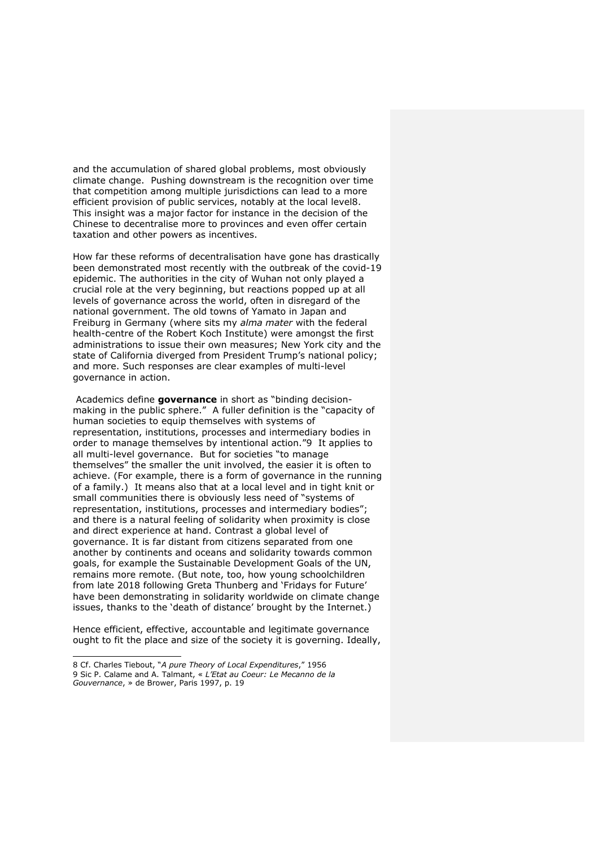and the accumulation of shared global problems, most obviously climate change. Pushing downstream is the recognition over time that competition among multiple jurisdictions can lead to a more efficient provision of public services, notably at the local level8. This insight was a major factor for instance in the decision of the Chinese to decentralise more to provinces and even offer certain taxation and other powers as incentives.

How far these reforms of decentralisation have gone has drastically been demonstrated most recently with the outbreak of the covid-19 epidemic. The authorities in the city of Wuhan not only played a crucial role at the very beginning, but reactions popped up at all levels of governance across the world, often in disregard of the national government. The old towns of Yamato in Japan and Freiburg in Germany (where sits my *alma mater* with the federal health-centre of the Robert Koch Institute) were amongst the first administrations to issue their own measures; New York city and the state of California diverged from President Trump's national policy; and more. Such responses are clear examples of multi-level governance in action.

Academics define **governance** in short as "binding decisionmaking in the public sphere." A fuller definition is the "capacity of human societies to equip themselves with systems of representation, institutions, processes and intermediary bodies in order to manage themselves by intentional action."9 It applies to all multi-level governance. But for societies "to manage themselves" the smaller the unit involved, the easier it is often to achieve. (For example, there is a form of governance in the running of a family.) It means also that at a local level and in tight knit or small communities there is obviously less need of "systems of representation, institutions, processes and intermediary bodies"; and there is a natural feeling of solidarity when proximity is close and direct experience at hand. Contrast a global level of governance. It is far distant from citizens separated from one another by continents and oceans and solidarity towards common goals, for example the Sustainable Development Goals of the UN, remains more remote. (But note, too, how young schoolchildren from late 2018 following Greta Thunberg and 'Fridays for Future' have been demonstrating in solidarity worldwide on climate change issues, thanks to the 'death of distance' brought by the Internet.)

Hence efficient, effective, accountable and legitimate governance ought to fit the place and size of the society it is governing. Ideally,

<sup>8</sup> Cf. Charles Tiebout, "*A pure Theory of Local Expenditures*," 1956 9 Sic P. Calame and A. Talmant, « *L'Etat au Coeur: Le Mecanno de la Gouvernance*, » de Brower, Paris 1997, p. 19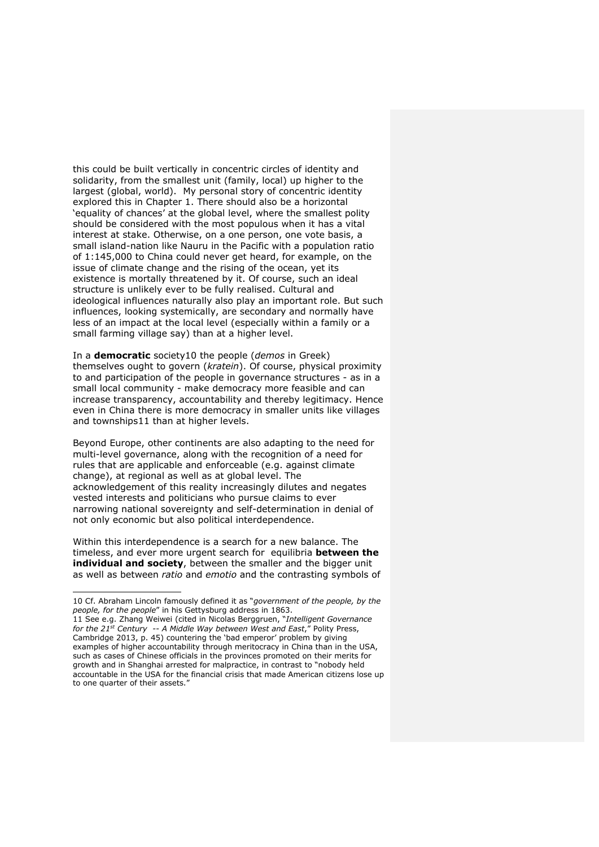this could be built vertically in concentric circles of identity and solidarity, from the smallest unit (family, local) up higher to the largest (global, world). My personal story of concentric identity explored this in Chapter 1. There should also be a horizontal 'equality of chances' at the global level, where the smallest polity should be considered with the most populous when it has a vital interest at stake. Otherwise, on a one person, one vote basis, a small island-nation like Nauru in the Pacific with a population ratio of 1:145,000 to China could never get heard, for example, on the issue of climate change and the rising of the ocean, yet its existence is mortally threatened by it. Of course, such an ideal structure is unlikely ever to be fully realised. Cultural and ideological influences naturally also play an important role. But such influences, looking systemically, are secondary and normally have less of an impact at the local level (especially within a family or a small farming village say) than at a higher level.

In a **democratic** society10 the people (*demos* in Greek) themselves ought to govern (*kratein*). Of course, physical proximity to and participation of the people in governance structures - as in a small local community - make democracy more feasible and can increase transparency, accountability and thereby legitimacy. Hence even in China there is more democracy in smaller units like villages and townships11 than at higher levels.

Beyond Europe, other continents are also adapting to the need for multi-level governance, along with the recognition of a need for rules that are applicable and enforceable (e.g. against climate change), at regional as well as at global level. The acknowledgement of this reality increasingly dilutes and negates vested interests and politicians who pursue claims to ever narrowing national sovereignty and self-determination in denial of not only economic but also political interdependence.

Within this interdependence is a search for a new balance. The timeless, and ever more urgent search for equilibria **between the individual and society**, between the smaller and the bigger unit as well as between *ratio* and *emotio* and the contrasting symbols of

<sup>10</sup> Cf. Abraham Lincoln famously defined it as "*government of the people, by the people, for the people*" in his Gettysburg address in 1863.

<sup>11</sup> See e.g. Zhang Weiwei (cited in Nicolas Berggruen, "*Intelligent Governance for the 21st Century -- A Middle Way between West and East*," Polity Press, Cambridge 2013, p. 45) countering the 'bad emperor' problem by giving examples of higher accountability through meritocracy in China than in the USA, such as cases of Chinese officials in the provinces promoted on their merits for growth and in Shanghai arrested for malpractice, in contrast to "nobody held accountable in the USA for the financial crisis that made American citizens lose up to one quarter of their assets."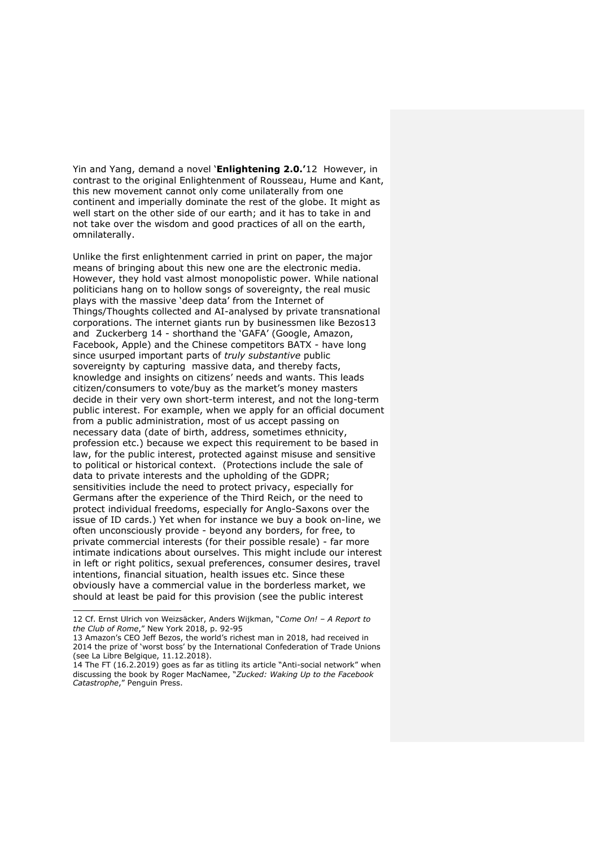Yin and Yang, demand a novel '**Enlightening 2.0.'**12 However, in contrast to the original Enlightenment of Rousseau, Hume and Kant, this new movement cannot only come unilaterally from one continent and imperially dominate the rest of the globe. It might as well start on the other side of our earth; and it has to take in and not take over the wisdom and good practices of all on the earth, omnilaterally.

Unlike the first enlightenment carried in print on paper, the major means of bringing about this new one are the electronic media. However, they hold vast almost monopolistic power. While national politicians hang on to hollow songs of sovereignty, the real music plays with the massive 'deep data' from the Internet of Things/Thoughts collected and AI-analysed by private transnational corporations. The internet giants run by businessmen like Bezos13 and Zuckerberg 14 - shorthand the 'GAFA' (Google, Amazon, Facebook, Apple) and the Chinese competitors BATX - have long since usurped important parts of *truly substantive* public sovereignty by capturing massive data, and thereby facts, knowledge and insights on citizens' needs and wants. This leads citizen/consumers to vote/buy as the market's money masters decide in their very own short-term interest, and not the long-term public interest. For example, when we apply for an official document from a public administration, most of us accept passing on necessary data (date of birth, address, sometimes ethnicity, profession etc.) because we expect this requirement to be based in law, for the public interest, protected against misuse and sensitive to political or historical context. (Protections include the sale of data to private interests and the upholding of the GDPR; sensitivities include the need to protect privacy, especially for Germans after the experience of the Third Reich, or the need to protect individual freedoms, especially for Anglo-Saxons over the issue of ID cards.) Yet when for instance we buy a book on-line, we often unconsciously provide - beyond any borders, for free, to private commercial interests (for their possible resale) - far more intimate indications about ourselves. This might include our interest in left or right politics, sexual preferences, consumer desires, travel intentions, financial situation, health issues etc. Since these obviously have a commercial value in the borderless market, we should at least be paid for this provision (see the public interest

<sup>12</sup> Cf. Ernst Ulrich von Weizsäcker, Anders Wijkman, "*Come On! – A Report to the Club of Rome*," New York 2018, p. 92-95

<sup>13</sup> Amazon's CEO Jeff Bezos, the world's richest man in 2018, had received in 2014 the prize of 'worst boss' by the International Confederation of Trade Unions (see La Libre Belgique, 11.12.2018).

<sup>14</sup> The FT (16.2.2019) goes as far as titling its article "Anti-social network" when discussing the book by Roger MacNamee, "*Zucked: Waking Up to the Facebook Catastrophe*," Penguin Press.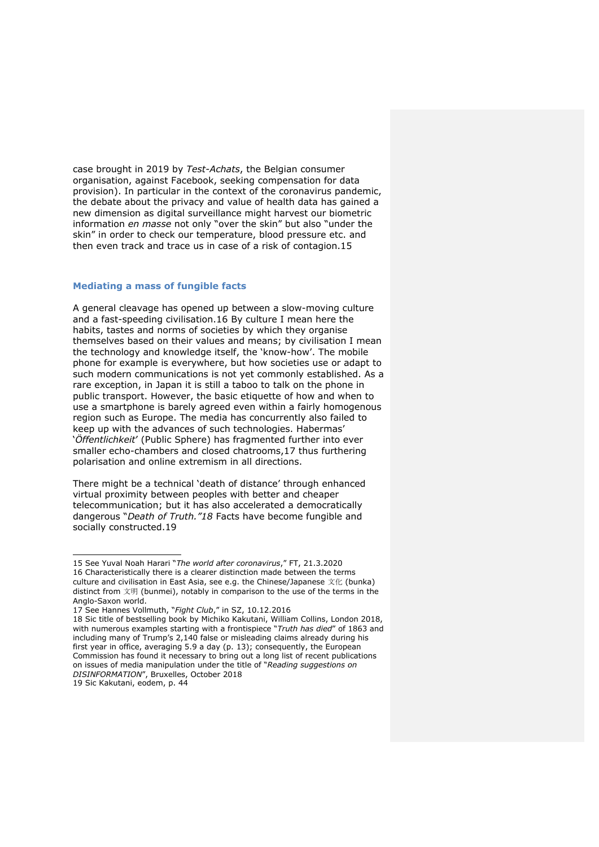case brought in 2019 by *Test-Achats*, the Belgian consumer organisation, against Facebook, seeking compensation for data provision). In particular in the context of the coronavirus pandemic, the debate about the privacy and value of health data has gained a new dimension as digital surveillance might harvest our biometric information *en masse* not only "over the skin" but also "under the skin" in order to check our temperature, blood pressure etc. and then even track and trace us in case of a risk of contagion.15

# **Mediating a mass of fungible facts**

A general cleavage has opened up between a slow-moving culture and a fast-speeding civilisation.16 By culture I mean here the habits, tastes and norms of societies by which they organise themselves based on their values and means; by civilisation I mean the technology and knowledge itself, the 'know-how'. The mobile phone for example is everywhere, but how societies use or adapt to such modern communications is not yet commonly established. As a rare exception, in Japan it is still a taboo to talk on the phone in public transport. However, the basic etiquette of how and when to use a smartphone is barely agreed even within a fairly homogenous region such as Europe. The media has concurrently also failed to keep up with the advances of such technologies. Habermas' '*Öffentlichkeit*' (Public Sphere) has fragmented further into ever smaller echo-chambers and closed chatrooms,17 thus furthering polarisation and online extremism in all directions.

There might be a technical 'death of distance' through enhanced virtual proximity between peoples with better and cheaper telecommunication; but it has also accelerated a democratically dangerous "*Death of Truth."18* Facts have become fungible and socially constructed.19

<sup>15</sup> See Yuval Noah Harari "*The world after coronavirus*," FT, 21.3.2020 16 Characteristically there is a clearer distinction made between the terms culture and civilisation in East Asia, see e.g. the Chinese/Japanese 文化 (bunka) distinct from 文明 (bunmei), notably in comparison to the use of the terms in the Anglo-Saxon world.

<sup>17</sup> See Hannes Vollmuth, "*Fight Club*," in SZ, 10.12.2016

<sup>18</sup> Sic title of bestselling book by Michiko Kakutani, William Collins, London 2018, with numerous examples starting with a frontispiece "*Truth has died*" of 1863 and including many of Trump's 2,140 false or misleading claims already during his first year in office, averaging 5.9 a day (p. 13); consequently, the European Commission has found it necessary to bring out a long list of recent publications on issues of media manipulation under the title of "*Reading suggestions on DISINFORMATION*", Bruxelles, October 2018

<sup>19</sup> Sic Kakutani, eodem, p. 44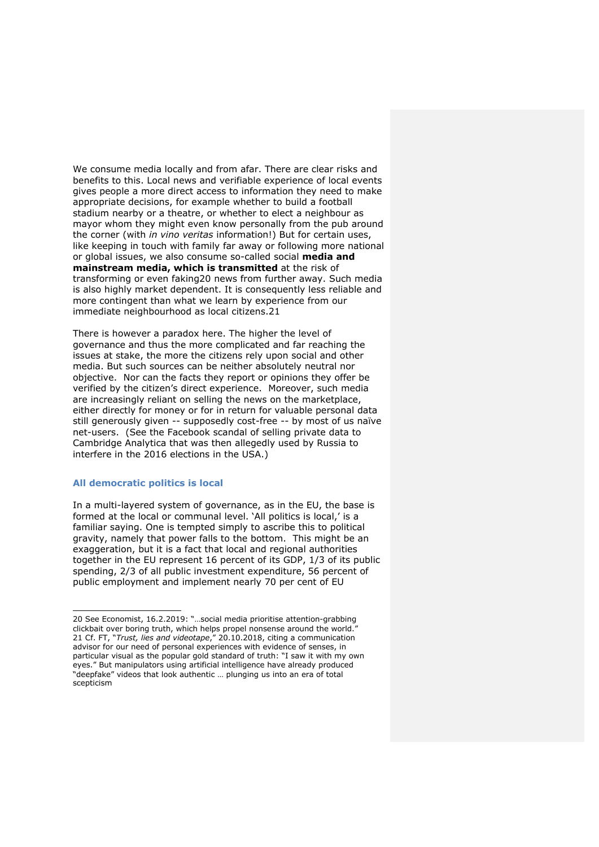We consume media locally and from afar. There are clear risks and benefits to this. Local news and verifiable experience of local events gives people a more direct access to information they need to make appropriate decisions, for example whether to build a football stadium nearby or a theatre, or whether to elect a neighbour as mayor whom they might even know personally from the pub around the corner (with *in vino veritas* information!) But for certain uses, like keeping in touch with family far away or following more national or global issues, we also consume so-called social **media and mainstream media, which is transmitted** at the risk of transforming or even faking20 news from further away. Such media is also highly market dependent. It is consequently less reliable and more contingent than what we learn by experience from our immediate neighbourhood as local citizens.21

There is however a paradox here. The higher the level of governance and thus the more complicated and far reaching the issues at stake, the more the citizens rely upon social and other media. But such sources can be neither absolutely neutral nor objective. Nor can the facts they report or opinions they offer be verified by the citizen's direct experience. Moreover, such media are increasingly reliant on selling the news on the marketplace, either directly for money or for in return for valuable personal data still generously given -- supposedly cost-free -- by most of us naïve net-users. (See the Facebook scandal of selling private data to Cambridge Analytica that was then allegedly used by Russia to interfere in the 2016 elections in the USA.)

# **All democratic politics is local**

In a multi-layered system of governance, as in the EU, the base is formed at the local or communal level. 'All politics is local,' is a familiar saying. One is tempted simply to ascribe this to political gravity, namely that power falls to the bottom. This might be an exaggeration, but it is a fact that local and regional authorities together in the EU represent 16 percent of its GDP, 1/3 of its public spending, 2/3 of all public investment expenditure, 56 percent of public employment and implement nearly 70 per cent of EU

<sup>20</sup> See Economist, 16.2.2019: "…social media prioritise attention-grabbing clickbait over boring truth, which helps propel nonsense around the world." 21 Cf. FT, "*Trust, lies and videotape*," 20.10.2018, citing a communication advisor for our need of personal experiences with evidence of senses, in particular visual as the popular gold standard of truth: "I saw it with my own eyes." But manipulators using artificial intelligence have already produced "deepfake" videos that look authentic … plunging us into an era of total scepticism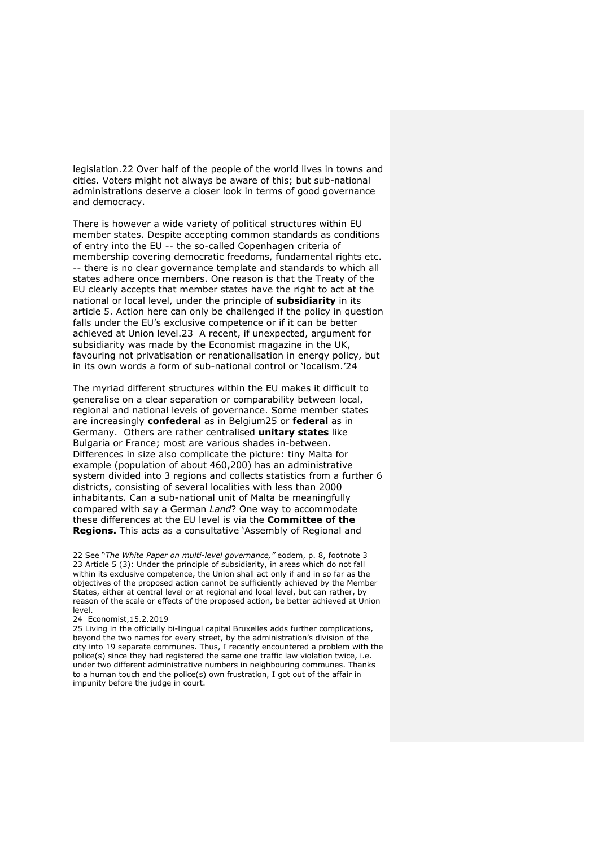legislation.22 Over half of the people of the world lives in towns and cities. Voters might not always be aware of this; but sub-national administrations deserve a closer look in terms of good governance and democracy.

There is however a wide variety of political structures within EU member states. Despite accepting common standards as conditions of entry into the EU -- the so-called Copenhagen criteria of membership covering democratic freedoms, fundamental rights etc. -- there is no clear governance template and standards to which all states adhere once members. One reason is that the Treaty of the EU clearly accepts that member states have the right to act at the national or local level, under the principle of **subsidiarity** in its article 5. Action here can only be challenged if the policy in question falls under the EU's exclusive competence or if it can be better achieved at Union level.23 A recent, if unexpected, argument for subsidiarity was made by the Economist magazine in the UK, favouring not privatisation or renationalisation in energy policy, but in its own words a form of sub-national control or 'localism.'24

The myriad different structures within the EU makes it difficult to generalise on a clear separation or comparability between local, regional and national levels of governance. Some member states are increasingly **confederal** as in Belgium25 or **federal** as in Germany. Others are rather centralised **unitary states** like Bulgaria or France; most are various shades in-between. Differences in size also complicate the picture: tiny Malta for example (population of about 460,200) has an administrative system divided into 3 regions and collects statistics from a further 6 districts, consisting of several localities with less than 2000 inhabitants. Can a sub-national unit of Malta be meaningfully compared with say a German *Land*? One way to accommodate these differences at the EU level is via the **Committee of the Regions.** This acts as a consultative 'Assembly of Regional and

<sup>22</sup> See "*The White Paper on multi-level governance,"* eodem, p. 8, footnote 3 23 Article 5 (3): Under the principle of subsidiarity, in areas which do not fall within its exclusive competence, the Union shall act only if and in so far as the objectives of the proposed action cannot be sufficiently achieved by the Member States, either at central level or at regional and local level, but can rather, by reason of the scale or effects of the proposed action, be better achieved at Union level.

<sup>24</sup> **Economist 15.2.2019** 

<sup>25</sup> Living in the officially bi-lingual capital Bruxelles adds further complications, beyond the two names for every street, by the administration's division of the city into 19 separate communes. Thus, I recently encountered a problem with the police(s) since they had registered the same one traffic law violation twice, i.e. under two different administrative numbers in neighbouring communes. Thanks to a human touch and the police(s) own frustration, I got out of the affair in impunity before the judge in court.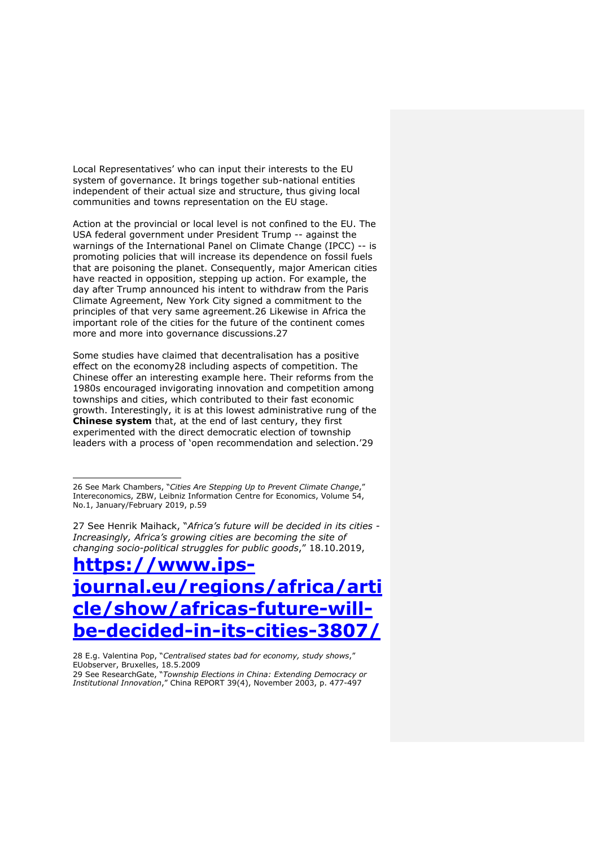Local Representatives' who can input their interests to the EU system of governance. It brings together sub-national entities independent of their actual size and structure, thus giving local communities and towns representation on the EU stage.

Action at the provincial or local level is not confined to the EU. The USA federal government under President Trump -- against the warnings of the International Panel on Climate Change (IPCC) -- is promoting policies that will increase its dependence on fossil fuels that are poisoning the planet. Consequently, major American cities have reacted in opposition, stepping up action. For example, the day after Trump announced his intent to withdraw from the Paris Climate Agreement, New York City signed a commitment to the principles of that very same agreement.26 Likewise in Africa the important role of the cities for the future of the continent comes more and more into governance discussions.27

Some studies have claimed that decentralisation has a positive effect on the economy28 including aspects of competition. The Chinese offer an interesting example here. Their reforms from the 1980s encouraged invigorating innovation and competition among townships and cities, which contributed to their fast economic growth. Interestingly, it is at this lowest administrative rung of the **Chinese system** that, at the end of last century, they first experimented with the direct democratic election of township leaders with a process of 'open recommendation and selection.'29

27 See Henrik Maihack, "*Africa's future will be decided in its cities - Increasingly, Africa's growing cities are becoming the site of changing socio-political struggles for public goods*," 18.10.2019,

**https://www.ipsjournal.eu/regions/africa/arti cle/show/africas-future-willbe-decided-in-its-cities-3807/**

28 E.g. Valentina Pop, "*Centralised states bad for economy, study shows*," EUobserver, Bruxelles, 18.5.2009 29 See ResearchGate, "*Township Elections in China: Extending Democracy or* 

*Institutional Innovation*," China REPORT 39(4), November 2003, p. 477-497

<sup>26</sup> See Mark Chambers, "*Cities Are Stepping Up to Prevent Climate Change*," Intereconomics, ZBW, Leibniz Information Centre for Economics, Volume 54, No.1, January/February 2019, p.59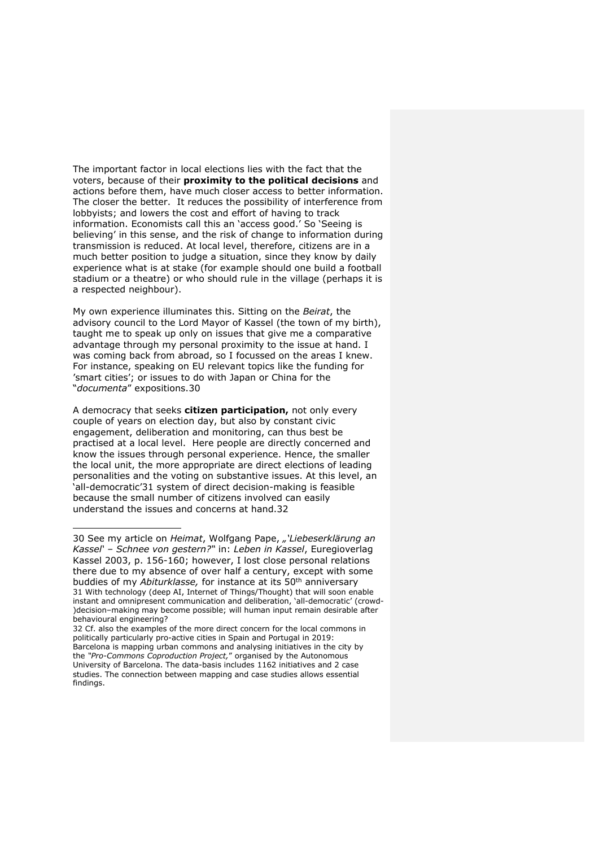The important factor in local elections lies with the fact that the voters, because of their **proximity to the political decisions** and actions before them, have much closer access to better information. The closer the better. It reduces the possibility of interference from lobbyists; and lowers the cost and effort of having to track information. Economists call this an 'access good.' So 'Seeing is believing' in this sense, and the risk of change to information during transmission is reduced. At local level, therefore, citizens are in a much better position to judge a situation, since they know by daily experience what is at stake (for example should one build a football stadium or a theatre) or who should rule in the village (perhaps it is a respected neighbour).

My own experience illuminates this. Sitting on the *Beirat*, the advisory council to the Lord Mayor of Kassel (the town of my birth), taught me to speak up only on issues that give me a comparative advantage through my personal proximity to the issue at hand. I was coming back from abroad, so I focussed on the areas I knew. For instance, speaking on EU relevant topics like the funding for 'smart cities'; or issues to do with Japan or China for the "*documenta*" expositions.30

A democracy that seeks **citizen participation,** not only every couple of years on election day, but also by constant civic engagement, deliberation and monitoring, can thus best be practised at a local level. Here people are directly concerned and know the issues through personal experience. Hence, the smaller the local unit, the more appropriate are direct elections of leading personalities and the voting on substantive issues. At this level, an 'all-democratic'31 system of direct decision-making is feasible because the small number of citizens involved can easily understand the issues and concerns at hand.32

<sup>30</sup> See my article on *Heimat*, Wolfgang Pape, *"'Liebeserklärung an Kassel' – Schnee von gestern?"* in: *Leben in Kassel*, Euregioverlag Kassel 2003, p. 156-160; however, I lost close personal relations there due to my absence of over half a century, except with some buddies of my *Abiturklasse,* for instance at its 50th anniversary 31 With technology (deep AI, Internet of Things/Thought) that will soon enable instant and omnipresent communication and deliberation, 'all-democratic' (crowd- )decision–making may become possible; will human input remain desirable after behavioural engineering?

<sup>32</sup> Cf. also the examples of the more direct concern for the local commons in politically particularly pro-active cities in Spain and Portugal in 2019: Barcelona is mapping urban commons and analysing initiatives in the city by the *"Pro-Commons Coproduction Project,*" organised by the Autonomous University of Barcelona. The data-basis includes 1162 initiatives and 2 case studies. The connection between mapping and case studies allows essential findings.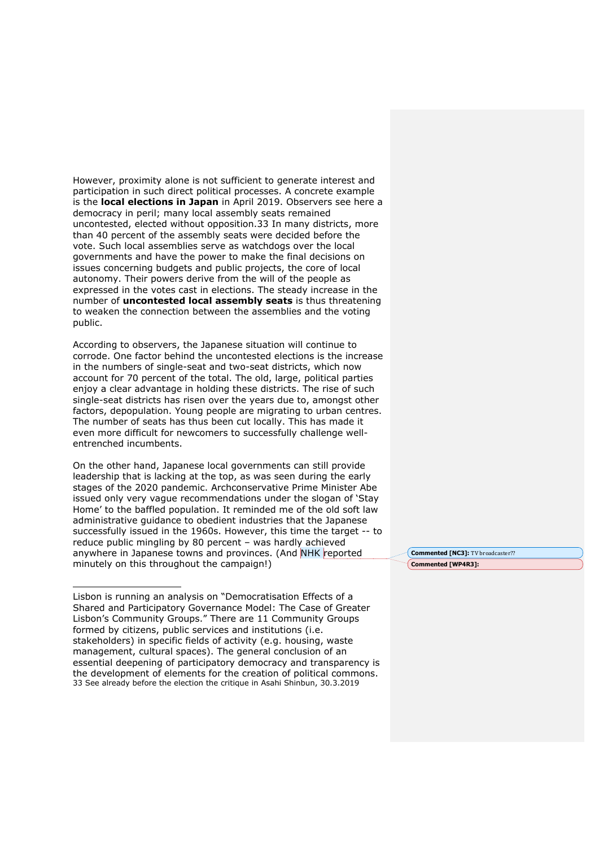However, proximity alone is not sufficient to generate interest and participation in such direct political processes. A concrete example is the **local elections in Japan** in April 2019. Observers see here a democracy in peril; many local assembly seats remained uncontested, elected without opposition.33 In many districts, more than 40 percent of the assembly seats were decided before the vote. Such local assemblies serve as watchdogs over the local governments and have the power to make the final decisions on issues concerning budgets and public projects, the core of local autonomy. Their powers derive from the will of the people as expressed in the votes cast in elections. The steady increase in the number of **uncontested local assembly seats** is thus threatening to weaken the connection between the assemblies and the voting public.

According to observers, the Japanese situation will continue to corrode. One factor behind the uncontested elections is the increase in the numbers of single-seat and two-seat districts, which now account for 70 percent of the total. The old, large, political parties enjoy a clear advantage in holding these districts. The rise of such single-seat districts has risen over the years due to, amongst other factors, depopulation. Young people are migrating to urban centres. The number of seats has thus been cut locally. This has made it even more difficult for newcomers to successfully challenge wellentrenched incumbents.

On the other hand, Japanese local governments can still provide leadership that is lacking at the top, as was seen during the early stages of the 2020 pandemic. Archconservative Prime Minister Abe issued only very vague recommendations under the slogan of 'Stay Home' to the baffled population. It reminded me of the old soft law administrative guidance to obedient industries that the Japanese successfully issued in the 1960s. However, this time the target -- to reduce public mingling by 80 percent – was hardly achieved anywhere in Japanese towns and provinces. (And NHK reported minutely on this throughout the campaign!)

**Commented [NC3]:** TV broadcaster?? **Commented [WP4R3]:** 

Lisbon is running an analysis on "Democratisation Effects of a Shared and Participatory Governance Model: The Case of Greater Lisbon's Community Groups." There are 11 Community Groups formed by citizens, public services and institutions (i.e. stakeholders) in specific fields of activity (e.g. housing, waste management, cultural spaces). The general conclusion of an essential deepening of participatory democracy and transparency is the development of elements for the creation of political commons. 33 See already before the election the critique in Asahi Shinbun, 30.3.2019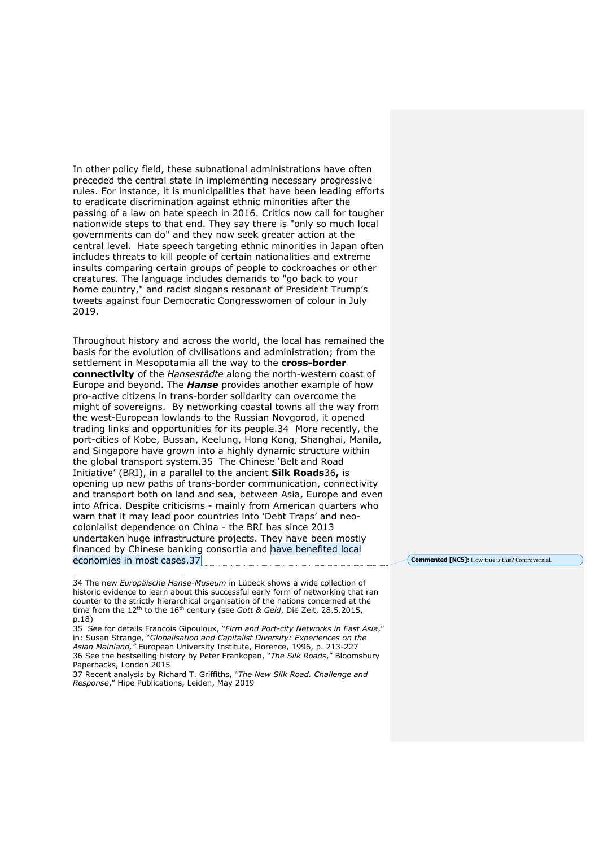In other policy field, these subnational administrations have often preceded the central state in implementing necessary progressive rules. For instance, it is municipalities that have been leading efforts to eradicate discrimination against ethnic minorities after the passing of a law on hate speech in 2016. Critics now call for tougher nationwide steps to that end. They say there is "only so much local governments can do" and they now seek greater action at the central level. Hate speech targeting ethnic minorities in Japan often includes threats to kill people of certain nationalities and extreme insults comparing certain groups of people to cockroaches or other creatures. The language includes demands to "go back to your home country," and racist slogans resonant of President Trump's tweets against four Democratic Congresswomen of colour in July 2019.

Throughout history and across the world, the local has remained the basis for the evolution of civilisations and administration; from the settlement in Mesopotamia all the way to the **cross-border connectivity** of the *Hansestädte* along the north-western coast of Europe and beyond. The *Hanse* provides another example of how pro-active citizens in trans-border solidarity can overcome the might of sovereigns. By networking coastal towns all the way from the west-European lowlands to the Russian Novgorod, it opened trading links and opportunities for its people.34 More recently, the port-cities of Kobe, Bussan, Keelung, Hong Kong, Shanghai, Manila, and Singapore have grown into a highly dynamic structure within the global transport system.35 The Chinese 'Belt and Road Initiative' (BRI), in a parallel to the ancient **Silk Roads**36**,** is opening up new paths of trans-border communication, connectivity and transport both on land and sea, between Asia, Europe and even into Africa. Despite criticisms - mainly from American quarters who warn that it may lead poor countries into 'Debt Traps' and neocolonialist dependence on China - the BRI has since 2013 undertaken huge infrastructure projects. They have been mostly financed by Chinese banking consortia and have benefited local economies in most cases.37

**Commented [NC5]:** How true is this? Controversial.

<sup>34</sup> The new *Europäische Hanse-Museum* in Lübeck shows a wide collection of historic evidence to learn about this successful early form of networking that ran counter to the strictly hierarchical organisation of the nations concerned at the time from the 12<sup>th</sup> to the 16<sup>th</sup> century (see *Gott & Geld*, Die Zeit, 28.5.2015, p.18)

<sup>35</sup> See for details Francois Gipouloux, "*Firm and Port-city Networks in East Asia*," in: Susan Strange, "*Globalisation and Capitalist Diversity: Experiences on the Asian Mainland,"* European University Institute, Florence, 1996, p. 213-227 36 See the bestselling history by Peter Frankopan, "*The Silk Roads*," Bloomsbury Paperbacks, London 2015

<sup>37</sup> Recent analysis by Richard T. Griffiths, "*The New Silk Road. Challenge and Response*," Hipe Publications, Leiden, May 2019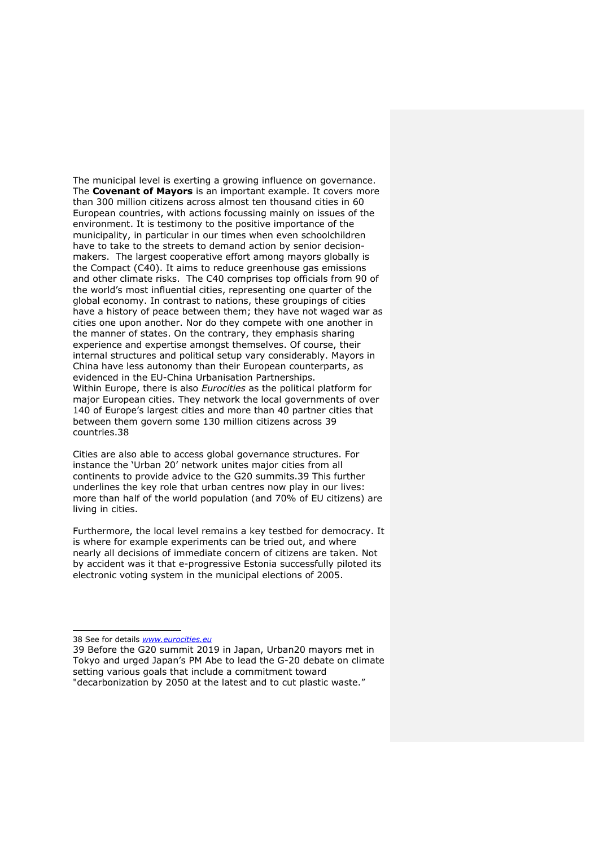The municipal level is exerting a growing influence on governance. The **Covenant of Mayors** is an important example. It covers more than 300 million citizens across almost ten thousand cities in 60 European countries, with actions focussing mainly on issues of the environment. It is testimony to the positive importance of the municipality, in particular in our times when even schoolchildren have to take to the streets to demand action by senior decisionmakers. The largest cooperative effort among mayors globally is the Compact (C40). It aims to reduce greenhouse gas emissions and other climate risks. The C40 comprises top officials from 90 of the world's most influential cities, representing one quarter of the global economy. In contrast to nations, these groupings of cities have a history of peace between them; they have not waged war as cities one upon another. Nor do they compete with one another in the manner of states. On the contrary, they emphasis sharing experience and expertise amongst themselves. Of course, their internal structures and political setup vary considerably. Mayors in China have less autonomy than their European counterparts, as evidenced in the EU-China Urbanisation Partnerships. Within Europe, there is also *Eurocities* as the political platform for major European cities. They network the local governments of over 140 of Europe's largest cities and more than 40 partner cities that between them govern some 130 million citizens across 39 countries.38

Cities are also able to access global governance structures. For instance the 'Urban 20' network unites major cities from all continents to provide advice to the G20 summits.39 This further underlines the key role that urban centres now play in our lives: more than half of the world population (and 70% of EU citizens) are living in cities.

Furthermore, the local level remains a key testbed for democracy. It is where for example experiments can be tried out, and where nearly all decisions of immediate concern of citizens are taken. Not by accident was it that e-progressive Estonia successfully piloted its electronic voting system in the municipal elections of 2005.

<sup>38</sup> See for details *www.eurocities.eu*

<sup>39</sup> Before the G20 summit 2019 in Japan, Urban20 mayors met in Tokyo and urged Japan's PM Abe to lead the G-20 debate on climate setting various goals that include a commitment toward "decarbonization by 2050 at the latest and to cut plastic waste."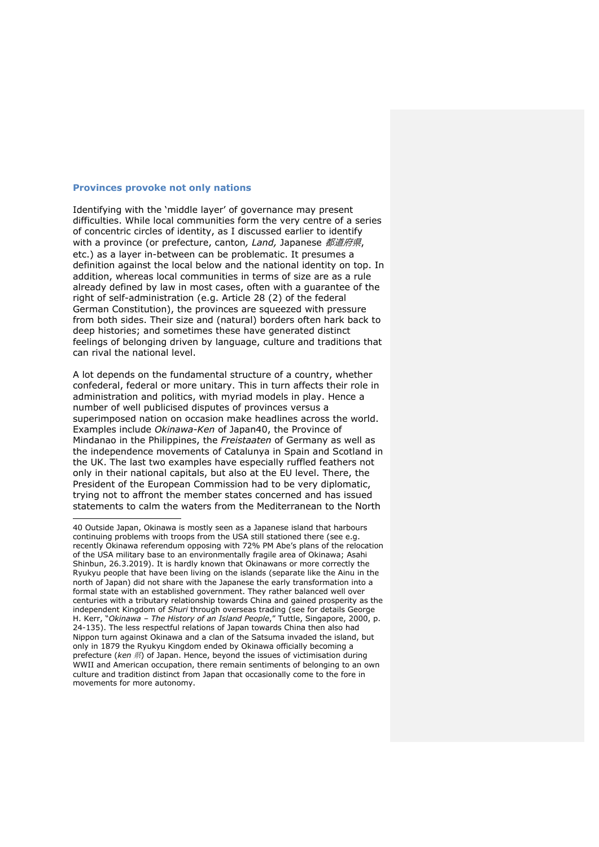#### **Provinces provoke not only nations**

Identifying with the 'middle layer' of governance may present difficulties. While local communities form the very centre of a series of concentric circles of identity, as I discussed earlier to identify with a province (or prefecture, canton*, Land,* Japanese 都道府県, etc.) as a layer in-between can be problematic. It presumes a definition against the local below and the national identity on top. In addition, whereas local communities in terms of size are as a rule already defined by law in most cases, often with a guarantee of the right of self-administration (e.g. Article 28 (2) of the federal German Constitution), the provinces are squeezed with pressure from both sides. Their size and (natural) borders often hark back to deep histories; and sometimes these have generated distinct feelings of belonging driven by language, culture and traditions that can rival the national level.

A lot depends on the fundamental structure of a country, whether confederal, federal or more unitary. This in turn affects their role in administration and politics, with myriad models in play. Hence a number of well publicised disputes of provinces versus a superimposed nation on occasion make headlines across the world. Examples include *Okinawa-Ken* of Japan40, the Province of Mindanao in the Philippines, the *Freistaaten* of Germany as well as the independence movements of Catalunya in Spain and Scotland in the UK. The last two examples have especially ruffled feathers not only in their national capitals, but also at the EU level. There, the President of the European Commission had to be very diplomatic, trying not to affront the member states concerned and has issued statements to calm the waters from the Mediterranean to the North

<sup>40</sup> Outside Japan, Okinawa is mostly seen as a Japanese island that harbours continuing problems with troops from the USA still stationed there (see e.g. recently Okinawa referendum opposing with 72% PM Abe's plans of the relocation of the USA military base to an environmentally fragile area of Okinawa; Asahi Shinbun, 26.3.2019). It is hardly known that Okinawans or more correctly the Ryukyu people that have been living on the islands (separate like the Ainu in the north of Japan) did not share with the Japanese the early transformation into a formal state with an established government. They rather balanced well over centuries with a tributary relationship towards China and gained prosperity as the independent Kingdom of *Shuri* through overseas trading (see for details George H. Kerr, "*Okinawa – The History of an Island People*," Tuttle, Singapore, 2000, p. 24-135). The less respectful relations of Japan towards China then also had Nippon turn against Okinawa and a clan of the Satsuma invaded the island, but only in 1879 the Ryukyu Kingdom ended by Okinawa officially becoming a prefecture (ken 県) of Japan. Hence, beyond the issues of victimisation during WWII and American occupation, there remain sentiments of belonging to an own culture and tradition distinct from Japan that occasionally come to the fore in movements for more autonomy.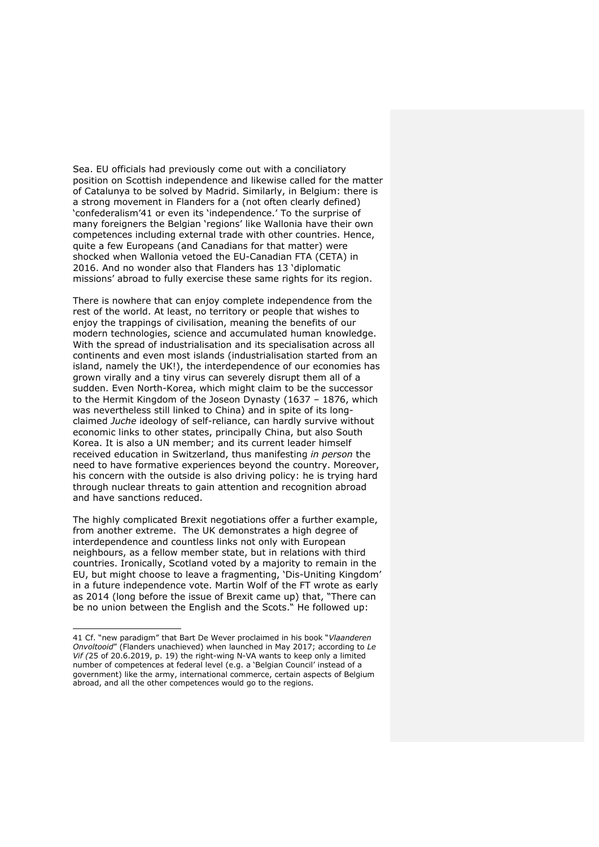Sea. EU officials had previously come out with a conciliatory position on Scottish independence and likewise called for the matter of Catalunya to be solved by Madrid. Similarly, in Belgium: there is a strong movement in Flanders for a (not often clearly defined) 'confederalism'41 or even its 'independence.' To the surprise of many foreigners the Belgian 'regions' like Wallonia have their own competences including external trade with other countries. Hence, quite a few Europeans (and Canadians for that matter) were shocked when Wallonia vetoed the EU-Canadian FTA (CETA) in 2016. And no wonder also that Flanders has 13 'diplomatic missions' abroad to fully exercise these same rights for its region.

There is nowhere that can enjoy complete independence from the rest of the world. At least, no territory or people that wishes to enjoy the trappings of civilisation, meaning the benefits of our modern technologies, science and accumulated human knowledge. With the spread of industrialisation and its specialisation across all continents and even most islands (industrialisation started from an island, namely the UK!), the interdependence of our economies has grown virally and a tiny virus can severely disrupt them all of a sudden. Even North-Korea, which might claim to be the successor to the Hermit Kingdom of the Joseon Dynasty (1637 – 1876, which was nevertheless still linked to China) and in spite of its longclaimed *Juche* ideology of self-reliance, can hardly survive without economic links to other states, principally China, but also South Korea. It is also a UN member; and its current leader himself received education in Switzerland, thus manifesting *in person* the need to have formative experiences beyond the country. Moreover, his concern with the outside is also driving policy: he is trying hard through nuclear threats to gain attention and recognition abroad and have sanctions reduced.

The highly complicated Brexit negotiations offer a further example, from another extreme. The UK demonstrates a high degree of interdependence and countless links not only with European neighbours, as a fellow member state, but in relations with third countries. Ironically, Scotland voted by a majority to remain in the EU, but might choose to leave a fragmenting, 'Dis-Uniting Kingdom' in a future independence vote. Martin Wolf of the FT wrote as early as 2014 (long before the issue of Brexit came up) that, "There can be no union between the English and the Scots." He followed up:

<sup>41</sup> Cf. "new paradigm" that Bart De Wever proclaimed in his book "*Vlaanderen Onvoltooid*" (Flanders unachieved) when launched in May 2017; according to *Le Vif (*25 of 20.6.2019, p. 19) the right-wing N-VA wants to keep only a limited number of competences at federal level (e.g. a 'Belgian Council' instead of a government) like the army, international commerce, certain aspects of Belgium abroad, and all the other competences would go to the regions.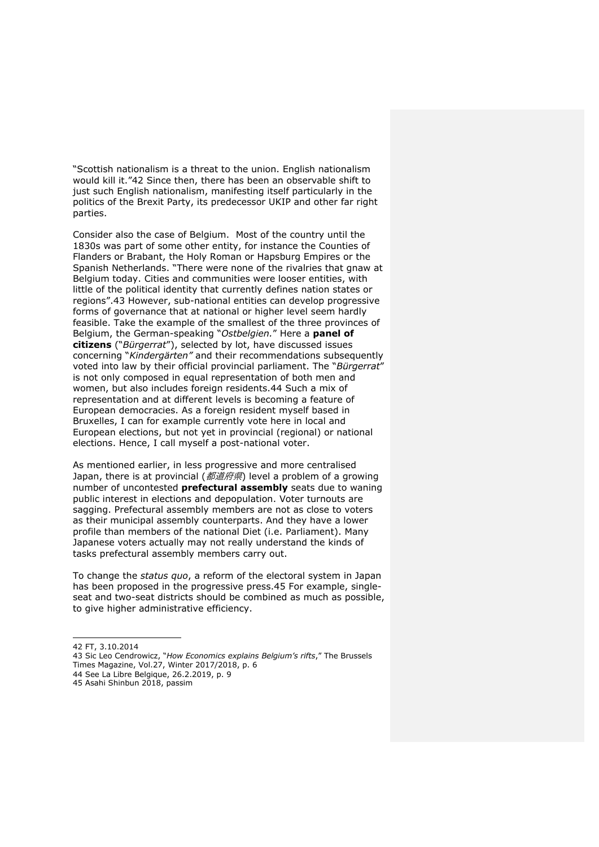"Scottish nationalism is a threat to the union. English nationalism would kill it."42 Since then, there has been an observable shift to just such English nationalism, manifesting itself particularly in the politics of the Brexit Party, its predecessor UKIP and other far right parties.

Consider also the case of Belgium. Most of the country until the 1830s was part of some other entity, for instance the Counties of Flanders or Brabant, the Holy Roman or Hapsburg Empires or the Spanish Netherlands. "There were none of the rivalries that gnaw at Belgium today. Cities and communities were looser entities, with little of the political identity that currently defines nation states or regions".43 However, sub-national entities can develop progressive forms of governance that at national or higher level seem hardly feasible. Take the example of the smallest of the three provinces of Belgium, the German-speaking "*Ostbelgien.*" Here a **panel of citizens** ("*Bürgerrat*"), selected by lot, have discussed issues concerning "*Kindergärten"* and their recommendations subsequently voted into law by their official provincial parliament. The "*Bürgerrat*" is not only composed in equal representation of both men and women, but also includes foreign residents.44 Such a mix of representation and at different levels is becoming a feature of European democracies. As a foreign resident myself based in Bruxelles, I can for example currently vote here in local and European elections, but not yet in provincial (regional) or national elections. Hence, I call myself a post-national voter.

As mentioned earlier, in less progressive and more centralised Japan, there is at provincial (都道府県) level a problem of a growing number of uncontested **prefectural assembly** seats due to waning public interest in elections and depopulation. Voter turnouts are sagging. Prefectural assembly members are not as close to voters as their municipal assembly counterparts. And they have a lower profile than members of the national Diet (i.e. Parliament). Many Japanese voters actually may not really understand the kinds of tasks prefectural assembly members carry out.

To change the *status quo*, a reform of the electoral system in Japan has been proposed in the progressive press.45 For example, singleseat and two-seat districts should be combined as much as possible, to give higher administrative efficiency.

<sup>42</sup> FT, 3.10.2014

<sup>43</sup> Sic Leo Cendrowicz, "*How Economics explains Belgium's rifts*," The Brussels Times Magazine, Vol.27, Winter 2017/2018, p. 6

<sup>44</sup> See La Libre Belgique, 26.2.2019, p. 9

<sup>45</sup> Asahi Shinbun 2018, passim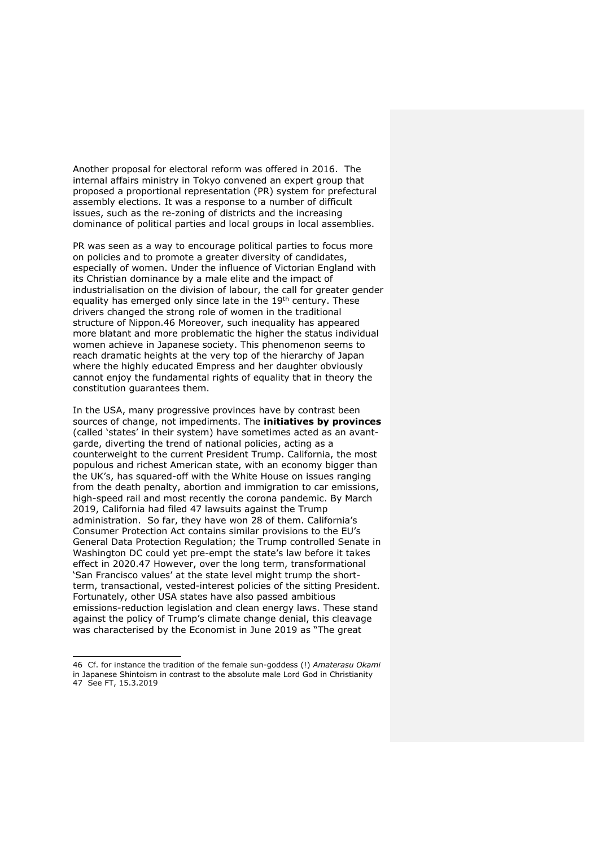Another proposal for electoral reform was offered in 2016. The internal affairs ministry in Tokyo convened an expert group that proposed a proportional representation (PR) system for prefectural assembly elections. It was a response to a number of difficult issues, such as the re-zoning of districts and the increasing dominance of political parties and local groups in local assemblies.

PR was seen as a way to encourage political parties to focus more on policies and to promote a greater diversity of candidates, especially of women. Under the influence of Victorian England with its Christian dominance by a male elite and the impact of industrialisation on the division of labour, the call for greater gender equality has emerged only since late in the 19th century. These drivers changed the strong role of women in the traditional structure of Nippon.46 Moreover, such inequality has appeared more blatant and more problematic the higher the status individual women achieve in Japanese society. This phenomenon seems to reach dramatic heights at the very top of the hierarchy of Japan where the highly educated Empress and her daughter obviously cannot enjoy the fundamental rights of equality that in theory the constitution guarantees them.

In the USA, many progressive provinces have by contrast been sources of change, not impediments. The **initiatives by provinces** (called 'states' in their system) have sometimes acted as an avantgarde, diverting the trend of national policies, acting as a counterweight to the current President Trump. California, the most populous and richest American state, with an economy bigger than the UK's, has squared-off with the White House on issues ranging from the death penalty, abortion and immigration to car emissions, high-speed rail and most recently the corona pandemic. By March 2019, California had filed 47 lawsuits against the Trump administration. So far, they have won 28 of them. California's Consumer Protection Act contains similar provisions to the EU's General Data Protection Regulation; the Trump controlled Senate in Washington DC could yet pre-empt the state's law before it takes effect in 2020.47 However, over the long term, transformational 'San Francisco values' at the state level might trump the shortterm, transactional, vested-interest policies of the sitting President. Fortunately, other USA states have also passed ambitious emissions-reduction legislation and clean energy laws. These stand against the policy of Trump's climate change denial, this cleavage was characterised by the Economist in June 2019 as "The great

<sup>46</sup> Cf. for instance the tradition of the female sun-goddess (!) *Amaterasu Okami* in Japanese Shintoism in contrast to the absolute male Lord God in Christianity 47 See FT, 15.3.2019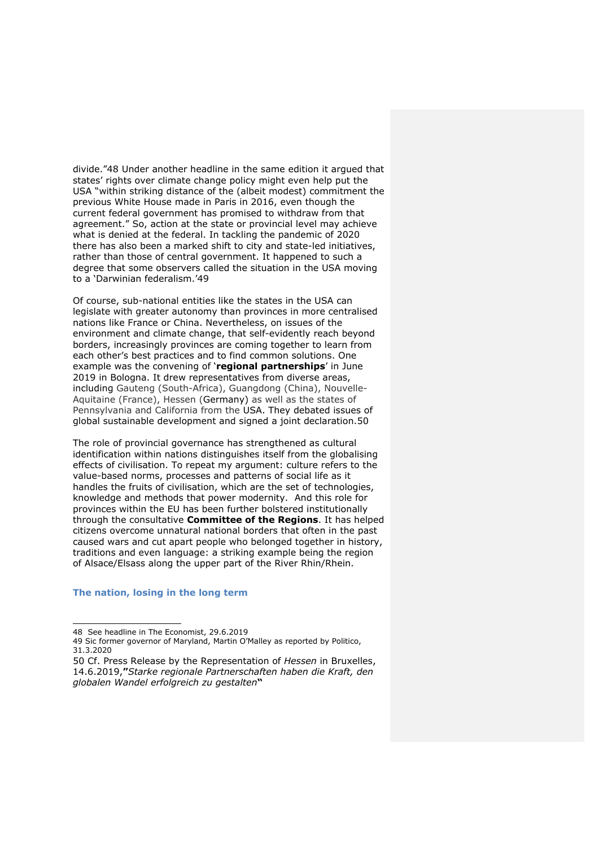divide."48 Under another headline in the same edition it argued that states' rights over climate change policy might even help put the USA "within striking distance of the (albeit modest) commitment the previous White House made in Paris in 2016, even though the current federal government has promised to withdraw from that agreement." So, action at the state or provincial level may achieve what is denied at the federal. In tackling the pandemic of 2020 there has also been a marked shift to city and state-led initiatives, rather than those of central government. It happened to such a degree that some observers called the situation in the USA moving to a 'Darwinian federalism.'49

Of course, sub-national entities like the states in the USA can legislate with greater autonomy than provinces in more centralised nations like France or China. Nevertheless, on issues of the environment and climate change, that self-evidently reach beyond borders, increasingly provinces are coming together to learn from each other's best practices and to find common solutions. One example was the convening of '**regional partnerships**' in June 2019 in Bologna. It drew representatives from diverse areas, including Gauteng (South-Africa), Guangdong (China), Nouvelle-Aquitaine (France), Hessen (Germany) as well as the states of Pennsylvania and California from the USA. They debated issues of global sustainable development and signed a joint declaration.50

The role of provincial governance has strengthened as cultural identification within nations distinguishes itself from the globalising effects of civilisation. To repeat my argument: culture refers to the value-based norms, processes and patterns of social life as it handles the fruits of civilisation, which are the set of technologies, knowledge and methods that power modernity. And this role for provinces within the EU has been further bolstered institutionally through the consultative **Committee of the Regions**. It has helped citizens overcome unnatural national borders that often in the past caused wars and cut apart people who belonged together in history, traditions and even language: a striking example being the region of Alsace/Elsass along the upper part of the River Rhin/Rhein.

#### **The nation, losing in the long term**

<sup>48</sup> See headline in The Economist, 29.6.2019

<sup>49</sup> Sic former governor of Maryland, Martin O'Malley as reported by Politico, 31.3.2020

<sup>50</sup> Cf. Press Release by the Representation of *Hessen* in Bruxelles, 14.6.2019,**"***Starke regionale Partnerschaften haben die Kraft, den globalen Wandel erfolgreich zu gestalten***"**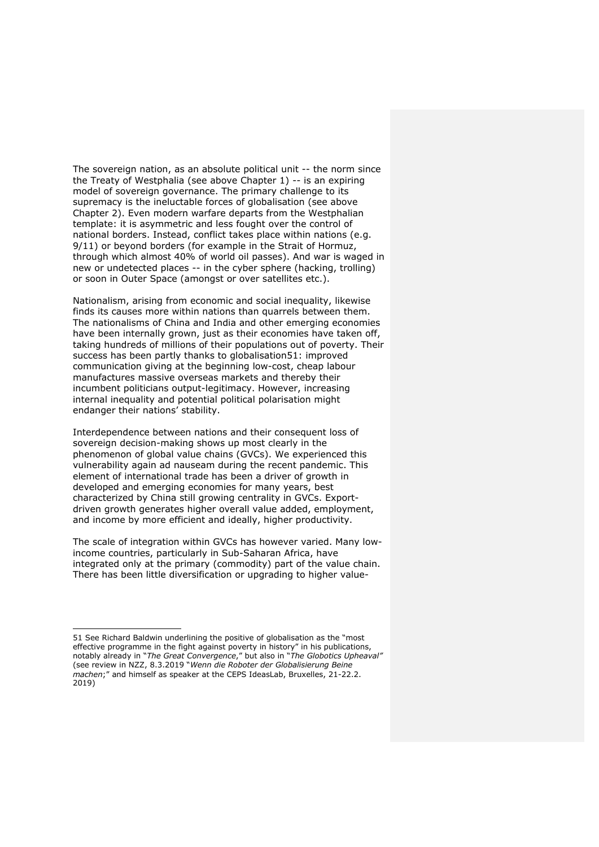The sovereign nation, as an absolute political unit -- the norm since the Treaty of Westphalia (see above Chapter 1) -- is an expiring model of sovereign governance. The primary challenge to its supremacy is the ineluctable forces of globalisation (see above Chapter 2). Even modern warfare departs from the Westphalian template: it is asymmetric and less fought over the control of national borders. Instead, conflict takes place within nations (e.g. 9/11) or beyond borders (for example in the Strait of Hormuz, through which almost 40% of world oil passes). And war is waged in new or undetected places -- in the cyber sphere (hacking, trolling) or soon in Outer Space (amongst or over satellites etc.).

Nationalism, arising from economic and social inequality, likewise finds its causes more within nations than quarrels between them. The nationalisms of China and India and other emerging economies have been internally grown, just as their economies have taken off, taking hundreds of millions of their populations out of poverty. Their success has been partly thanks to globalisation51: improved communication giving at the beginning low-cost, cheap labour manufactures massive overseas markets and thereby their incumbent politicians output-legitimacy. However, increasing internal inequality and potential political polarisation might endanger their nations' stability.

Interdependence between nations and their consequent loss of sovereign decision-making shows up most clearly in the phenomenon of global value chains (GVCs). We experienced this vulnerability again ad nauseam during the recent pandemic. This element of international trade has been a driver of growth in developed and emerging economies for many years, best characterized by China still growing centrality in GVCs. Exportdriven growth generates higher overall value added, employment, and income by more efficient and ideally, higher productivity.

The scale of integration within GVCs has however varied. Many lowincome countries, particularly in Sub-Saharan Africa, have integrated only at the primary (commodity) part of the value chain. There has been little diversification or upgrading to higher value-

<sup>51</sup> See Richard Baldwin underlining the positive of globalisation as the "most effective programme in the fight against poverty in history" in his publications, notably already in "*The Great Convergence*," but also in "*The Globotics Upheaval"* (see review in NZZ, 8.3.2019 "*Wenn die Roboter der Globalisierung Beine machen*;" and himself as speaker at the CEPS IdeasLab, Bruxelles, 21-22.2. 2019)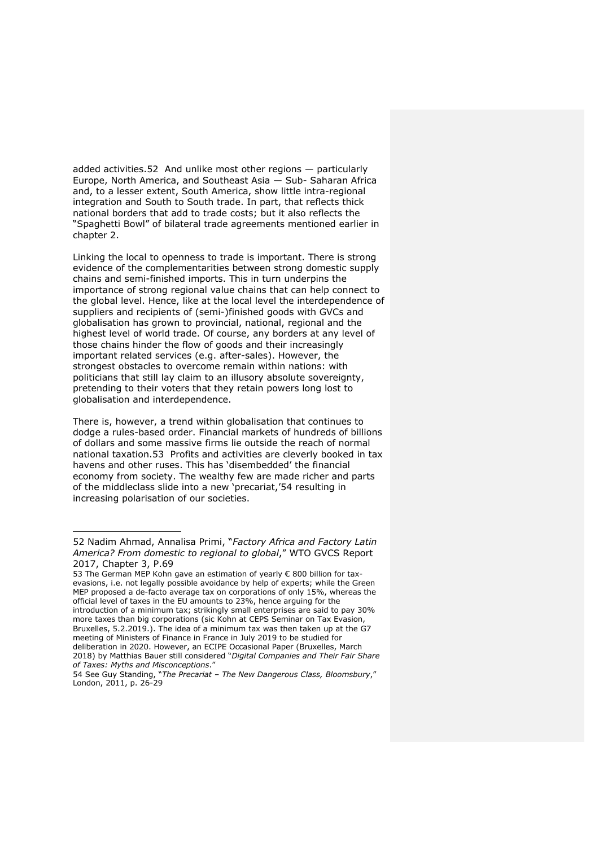added activities.52 And unlike most other regions — particularly Europe, North America, and Southeast Asia — Sub- Saharan Africa and, to a lesser extent, South America, show little intra-regional integration and South to South trade. In part, that reflects thick national borders that add to trade costs; but it also reflects the "Spaghetti Bowl" of bilateral trade agreements mentioned earlier in chapter 2.

Linking the local to openness to trade is important. There is strong evidence of the complementarities between strong domestic supply chains and semi-finished imports. This in turn underpins the importance of strong regional value chains that can help connect to the global level. Hence, like at the local level the interdependence of suppliers and recipients of (semi-)finished goods with GVCs and globalisation has grown to provincial, national, regional and the highest level of world trade. Of course, any borders at any level of those chains hinder the flow of goods and their increasingly important related services (e.g. after-sales). However, the strongest obstacles to overcome remain within nations: with politicians that still lay claim to an illusory absolute sovereignty, pretending to their voters that they retain powers long lost to globalisation and interdependence.

There is, however, a trend within globalisation that continues to dodge a rules-based order. Financial markets of hundreds of billions of dollars and some massive firms lie outside the reach of normal national taxation.53 Profits and activities are cleverly booked in tax havens and other ruses. This has 'disembedded' the financial economy from society. The wealthy few are made richer and parts of the middleclass slide into a new 'precariat,'54 resulting in increasing polarisation of our societies.

<sup>52</sup> Nadim Ahmad, Annalisa Primi, "*Factory Africa and Factory Latin America? From domestic to regional to global*," WTO GVCS Report 2017, Chapter 3, P.69

<sup>53</sup> The German MEP Kohn gave an estimation of yearly € 800 billion for taxevasions, i.e. not legally possible avoidance by help of experts; while the Green MEP proposed a de-facto average tax on corporations of only 15%, whereas the official level of taxes in the EU amounts to 23%, hence arguing for the introduction of a minimum tax; strikingly small enterprises are said to pay 30% more taxes than big corporations (sic Kohn at CEPS Seminar on Tax Evasion, Bruxelles, 5.2.2019.). The idea of a minimum tax was then taken up at the G7 meeting of Ministers of Finance in France in July 2019 to be studied for deliberation in 2020. However, an ECIPE Occasional Paper (Bruxelles, March 2018) by Matthias Bauer still considered "*Digital Companies and Their Fair Share of Taxes: Myths and Misconceptions*."

<sup>54</sup> See Guy Standing, "*The Precariat – The New Dangerous Class, Bloomsbury*," London, 2011, p. 26-29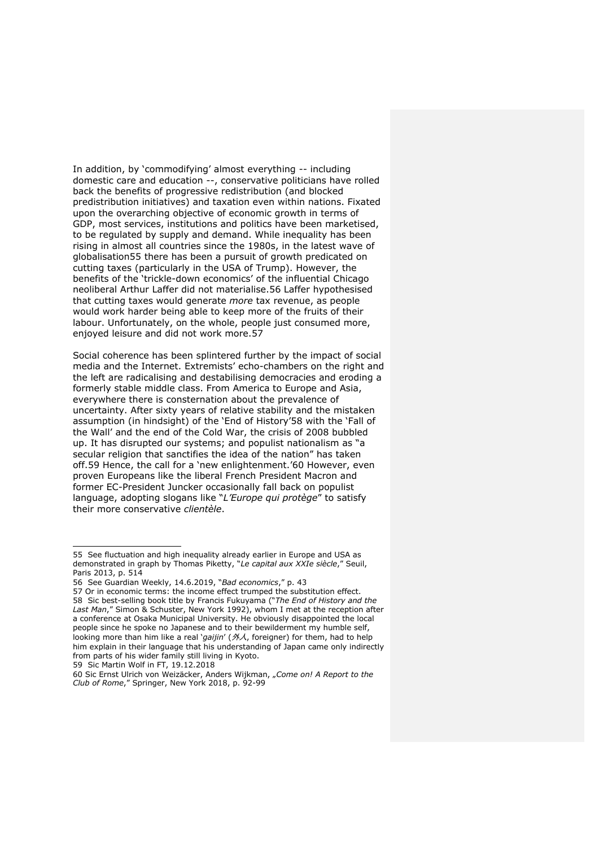In addition, by 'commodifying' almost everything -- including domestic care and education --, conservative politicians have rolled back the benefits of progressive redistribution (and blocked predistribution initiatives) and taxation even within nations. Fixated upon the overarching objective of economic growth in terms of GDP, most services, institutions and politics have been marketised, to be regulated by supply and demand. While inequality has been rising in almost all countries since the 1980s, in the latest wave of globalisation55 there has been a pursuit of growth predicated on cutting taxes (particularly in the USA of Trump). However, the benefits of the 'trickle-down economics' of the influential Chicago neoliberal Arthur Laffer did not materialise.56 Laffer hypothesised that cutting taxes would generate *more* tax revenue, as people would work harder being able to keep more of the fruits of their labour. Unfortunately, on the whole, people just consumed more, enjoyed leisure and did not work more.57

Social coherence has been splintered further by the impact of social media and the Internet. Extremists' echo-chambers on the right and the left are radicalising and destabilising democracies and eroding a formerly stable middle class. From America to Europe and Asia, everywhere there is consternation about the prevalence of uncertainty. After sixty years of relative stability and the mistaken assumption (in hindsight) of the 'End of History'58 with the 'Fall of the Wall' and the end of the Cold War, the crisis of 2008 bubbled up. It has disrupted our systems; and populist nationalism as "a secular religion that sanctifies the idea of the nation" has taken off.59 Hence, the call for a 'new enlightenment.'60 However, even proven Europeans like the liberal French President Macron and former EC-President Juncker occasionally fall back on populist language, adopting slogans like "*L'Europe qui protège*" to satisfy their more conservative *clientèle*.

59 Sic Martin Wolf in FT, 19.12.2018

<sup>55</sup> See fluctuation and high inequality already earlier in Europe and USA as demonstrated in graph by Thomas Piketty, "*Le capital aux XXIe siècle*," Seuil, Paris 2013, p. 514

<sup>56</sup> See Guardian Weekly, 14.6.2019, "*Bad economics*," p. 43

<sup>57</sup> Or in economic terms: the income effect trumped the substitution effect. 58 Sic best-selling book title by Francis Fukuyama ("*The End of History and the Last Man*," Simon & Schuster, New York 1992), whom I met at the reception after a conference at Osaka Municipal University. He obviously disappointed the local people since he spoke no Japanese and to their bewilderment my humble self, looking more than him like a real '*gaijin*' (外人, foreigner) for them, had to help him explain in their language that his understanding of Japan came only indirectly from parts of his wider family still living in Kyoto.

<sup>60</sup> Sic Ernst Ulrich von Weizäcker, Anders Wijkman, "*Come on! A Report to the Club of Rome*," Springer, New York 2018, p. 92-99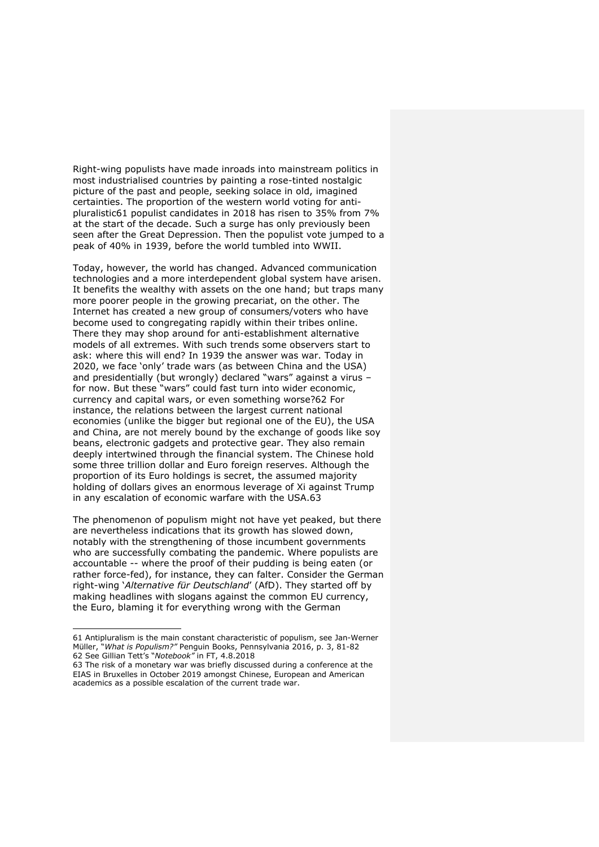Right-wing populists have made inroads into mainstream politics in most industrialised countries by painting a rose-tinted nostalgic picture of the past and people, seeking solace in old, imagined certainties. The proportion of the western world voting for antipluralistic61 populist candidates in 2018 has risen to 35% from 7% at the start of the decade. Such a surge has only previously been seen after the Great Depression. Then the populist vote jumped to a peak of 40% in 1939, before the world tumbled into WWII.

Today, however, the world has changed. Advanced communication technologies and a more interdependent global system have arisen. It benefits the wealthy with assets on the one hand; but traps many more poorer people in the growing precariat, on the other. The Internet has created a new group of consumers/voters who have become used to congregating rapidly within their tribes online. There they may shop around for anti-establishment alternative models of all extremes. With such trends some observers start to ask: where this will end? In 1939 the answer was war. Today in 2020, we face 'only' trade wars (as between China and the USA) and presidentially (but wrongly) declared "wars" against a virus – for now. But these "wars" could fast turn into wider economic, currency and capital wars, or even something worse?62 For instance, the relations between the largest current national economies (unlike the bigger but regional one of the EU), the USA and China, are not merely bound by the exchange of goods like soy beans, electronic gadgets and protective gear. They also remain deeply intertwined through the financial system. The Chinese hold some three trillion dollar and Euro foreign reserves. Although the proportion of its Euro holdings is secret, the assumed majority holding of dollars gives an enormous leverage of Xi against Trump in any escalation of economic warfare with the USA.63

The phenomenon of populism might not have yet peaked, but there are nevertheless indications that its growth has slowed down, notably with the strengthening of those incumbent governments who are successfully combating the pandemic. Where populists are accountable -- where the proof of their pudding is being eaten (or rather force-fed), for instance, they can falter. Consider the German right-wing '*Alternative für Deutschland*' (AfD). They started off by making headlines with slogans against the common EU currency, the Euro, blaming it for everything wrong with the German

<sup>61</sup> Antipluralism is the main constant characteristic of populism, see Jan-Werner Müller, "*What is Populism?"* Penguin Books, Pennsylvania 2016, p. 3, 81-82 62 See Gillian Tett's "*Notebook"* in FT, 4.8.2018

<sup>63</sup> The risk of a monetary war was briefly discussed during a conference at the EIAS in Bruxelles in October 2019 amongst Chinese, European and American academics as a possible escalation of the current trade war.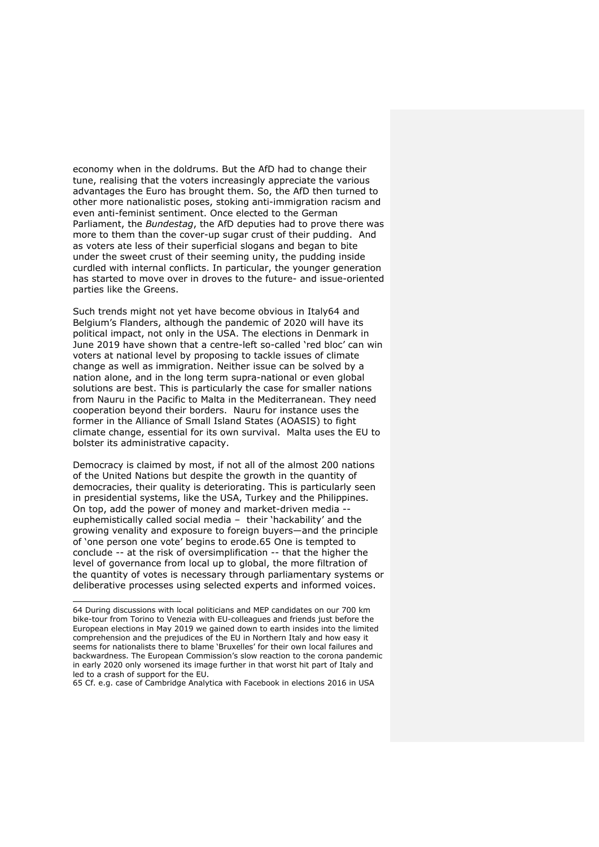economy when in the doldrums. But the AfD had to change their tune, realising that the voters increasingly appreciate the various advantages the Euro has brought them. So, the AfD then turned to other more nationalistic poses, stoking anti-immigration racism and even anti-feminist sentiment. Once elected to the German Parliament, the *Bundestag*, the AfD deputies had to prove there was more to them than the cover-up sugar crust of their pudding. And as voters ate less of their superficial slogans and began to bite under the sweet crust of their seeming unity, the pudding inside curdled with internal conflicts. In particular, the younger generation has started to move over in droves to the future- and issue-oriented parties like the Greens.

Such trends might not yet have become obvious in Italy64 and Belgium's Flanders, although the pandemic of 2020 will have its political impact, not only in the USA. The elections in Denmark in June 2019 have shown that a centre-left so-called 'red bloc' can win voters at national level by proposing to tackle issues of climate change as well as immigration. Neither issue can be solved by a nation alone, and in the long term supra-national or even global solutions are best. This is particularly the case for smaller nations from Nauru in the Pacific to Malta in the Mediterranean. They need cooperation beyond their borders. Nauru for instance uses the former in the Alliance of Small Island States (AOASIS) to fight climate change, essential for its own survival. Malta uses the EU to bolster its administrative capacity.

Democracy is claimed by most, if not all of the almost 200 nations of the United Nations but despite the growth in the quantity of democracies, their quality is deteriorating. This is particularly seen in presidential systems, like the USA, Turkey and the Philippines. On top, add the power of money and market-driven media euphemistically called social media – their 'hackability' and the growing venality and exposure to foreign buyers—and the principle of 'one person one vote' begins to erode.65 One is tempted to conclude -- at the risk of oversimplification -- that the higher the level of governance from local up to global, the more filtration of the quantity of votes is necessary through parliamentary systems or deliberative processes using selected experts and informed voices.

<sup>64</sup> During discussions with local politicians and MEP candidates on our 700 km bike-tour from Torino to Venezia with EU-colleagues and friends just before the European elections in May 2019 we gained down to earth insides into the limited comprehension and the prejudices of the EU in Northern Italy and how easy it seems for nationalists there to blame 'Bruxelles' for their own local failures and backwardness. The European Commission's slow reaction to the corona pandemic in early 2020 only worsened its image further in that worst hit part of Italy and led to a crash of support for the EU.

<sup>65</sup> Cf. e.g. case of Cambridge Analytica with Facebook in elections 2016 in USA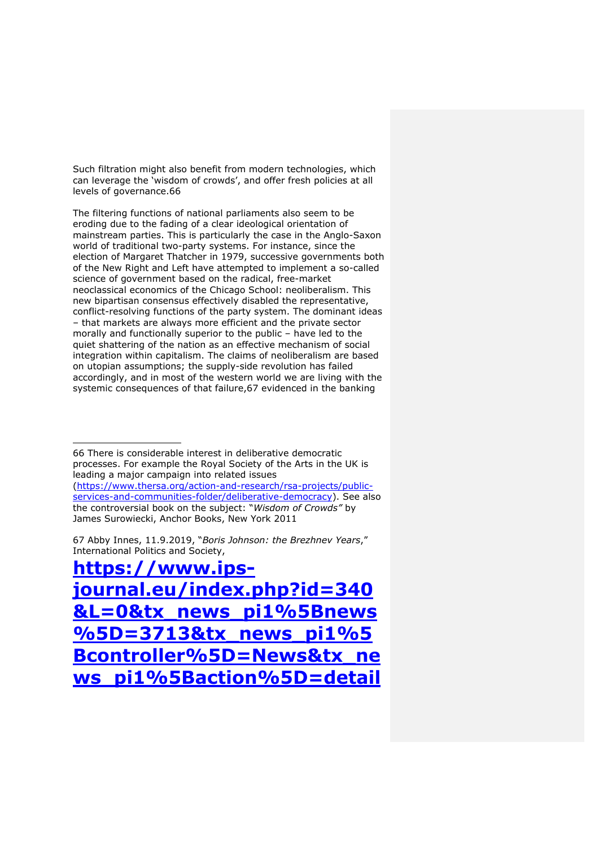Such filtration might also benefit from modern technologies, which can leverage the 'wisdom of crowds', and offer fresh policies at all levels of governance.66

The filtering functions of national parliaments also seem to be eroding due to the fading of a clear ideological orientation of mainstream parties. This is particularly the case in the Anglo-Saxon world of traditional two-party systems. For instance, since the election of Margaret Thatcher in 1979, successive governments both of the New Right and Left have attempted to implement a so-called science of government based on the radical, free-market neoclassical economics of the Chicago School: neoliberalism. This new bipartisan consensus effectively disabled the representative, conflict-resolving functions of the party system. The dominant ideas – that markets are always more efficient and the private sector morally and functionally superior to the public – have led to the quiet shattering of the nation as an effective mechanism of social integration within capitalism. The claims of neoliberalism are based on utopian assumptions; the supply-side revolution has failed accordingly, and in most of the western world we are living with the systemic consequences of that failure,67 evidenced in the banking

66 There is considerable interest in deliberative democratic processes. For example the Royal Society of the Arts in the UK is leading a major campaign into related issues (https://www.thersa.org/action-and-research/rsa-projects/publicservices-and-communities-folder/deliberative-democracy). See also the controversial book on the subject: "*Wisdom of Crowds"* by James Surowiecki, Anchor Books, New York 2011

67 Abby Innes, 11.9.2019, "*Boris Johnson: the Brezhnev Years*," International Politics and Society,

**https://www.ipsjournal.eu/index.php?id=340 &L=0&tx\_news\_pi1%5Bnews %5D=3713&tx\_news\_pi1%5 Bcontroller%5D=News&tx\_ne ws\_pi1%5Baction%5D=detail**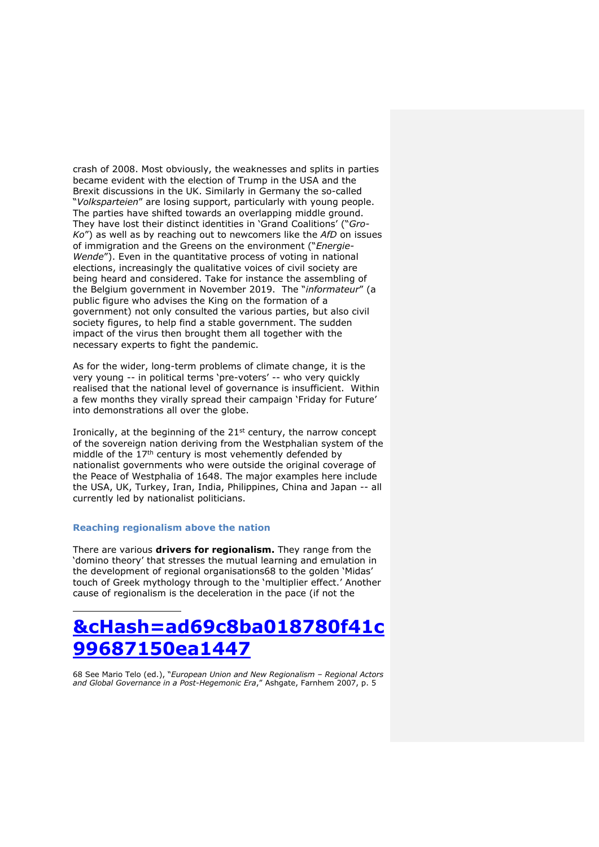crash of 2008. Most obviously, the weaknesses and splits in parties became evident with the election of Trump in the USA and the Brexit discussions in the UK. Similarly in Germany the so-called "*Volksparteien*" are losing support, particularly with young people. The parties have shifted towards an overlapping middle ground. They have lost their distinct identities in 'Grand Coalitions' ("*Gro-Ko*") as well as by reaching out to newcomers like the *AfD* on issues of immigration and the Greens on the environment ("*Energie-Wende*"). Even in the quantitative process of voting in national elections, increasingly the qualitative voices of civil society are being heard and considered. Take for instance the assembling of the Belgium government in November 2019. The "*informateur*" (a public figure who advises the King on the formation of a government) not only consulted the various parties, but also civil society figures, to help find a stable government. The sudden impact of the virus then brought them all together with the necessary experts to fight the pandemic.

As for the wider, long-term problems of climate change, it is the very young -- in political terms 'pre-voters' -- who very quickly realised that the national level of governance is insufficient. Within a few months they virally spread their campaign 'Friday for Future' into demonstrations all over the globe.

Ironically, at the beginning of the 21<sup>st</sup> century, the narrow concept of the sovereign nation deriving from the Westphalian system of the middle of the  $17<sup>th</sup>$  century is most vehemently defended by nationalist governments who were outside the original coverage of the Peace of Westphalia of 1648. The major examples here include the USA, UK, Turkey, Iran, India, Philippines, China and Japan -- all currently led by nationalist politicians.

# **Reaching regionalism above the nation**

There are various **drivers for regionalism.** They range from the 'domino theory' that stresses the mutual learning and emulation in the development of regional organisations68 to the golden 'Midas' touch of Greek mythology through to the 'multiplier effect.' Another cause of regionalism is the deceleration in the pace (if not the

# **&cHash=ad69c8ba018780f41c 99687150ea1447**

68 See Mario Telo (ed.), "*European Union and New Regionalism – Regional Actors and Global Governance in a Post-Hegemonic Era*," Ashgate, Farnhem 2007, p. 5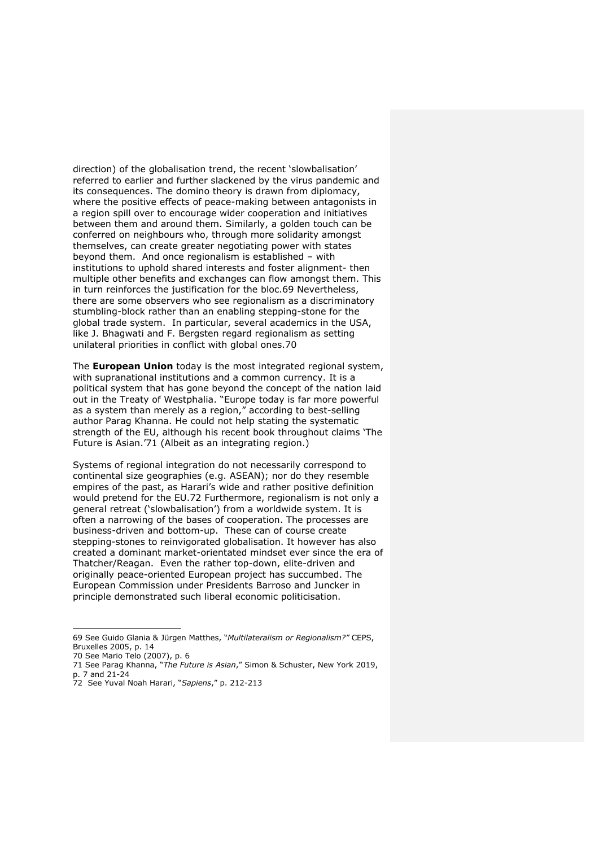direction) of the globalisation trend, the recent 'slowbalisation' referred to earlier and further slackened by the virus pandemic and its consequences. The domino theory is drawn from diplomacy, where the positive effects of peace-making between antagonists in a region spill over to encourage wider cooperation and initiatives between them and around them. Similarly, a golden touch can be conferred on neighbours who, through more solidarity amongst themselves, can create greater negotiating power with states beyond them. And once regionalism is established – with institutions to uphold shared interests and foster alignment- then multiple other benefits and exchanges can flow amongst them. This in turn reinforces the justification for the bloc.69 Nevertheless, there are some observers who see regionalism as a discriminatory stumbling-block rather than an enabling stepping-stone for the global trade system. In particular, several academics in the USA, like J. Bhagwati and F. Bergsten regard regionalism as setting unilateral priorities in conflict with global ones.70

The **European Union** today is the most integrated regional system, with supranational institutions and a common currency. It is a political system that has gone beyond the concept of the nation laid out in the Treaty of Westphalia. "Europe today is far more powerful as a system than merely as a region," according to best-selling author Parag Khanna. He could not help stating the systematic strength of the EU, although his recent book throughout claims 'The Future is Asian.'71 (Albeit as an integrating region.)

Systems of regional integration do not necessarily correspond to continental size geographies (e.g. ASEAN); nor do they resemble empires of the past, as Harari's wide and rather positive definition would pretend for the EU.72 Furthermore, regionalism is not only a general retreat ('slowbalisation') from a worldwide system. It is often a narrowing of the bases of cooperation. The processes are business-driven and bottom-up. These can of course create stepping-stones to reinvigorated globalisation. It however has also created a dominant market-orientated mindset ever since the era of Thatcher/Reagan. Even the rather top-down, elite-driven and originally peace-oriented European project has succumbed. The European Commission under Presidents Barroso and Juncker in principle demonstrated such liberal economic politicisation.

<sup>69</sup> See Guido Glania & Jürgen Matthes, "*Multilateralism or Regionalism?"* CEPS, Bruxelles 2005, p. 14

<sup>70</sup> See Mario Telo (2007), p. 6

<sup>71</sup> See Parag Khanna, "*The Future is Asian*," Simon & Schuster, New York 2019, p. 7 and 21-24

<sup>72</sup> See Yuval Noah Harari, "*Sapiens*," p. 212-213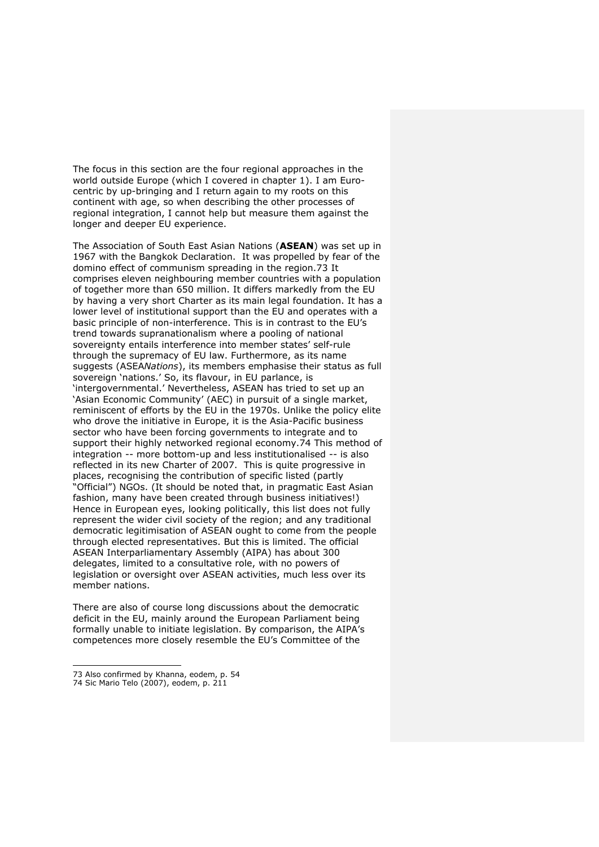The focus in this section are the four regional approaches in the world outside Europe (which I covered in chapter 1). I am Eurocentric by up-bringing and I return again to my roots on this continent with age, so when describing the other processes of regional integration, I cannot help but measure them against the longer and deeper EU experience.

The Association of South East Asian Nations (**ASEAN**) was set up in 1967 with the Bangkok Declaration. It was propelled by fear of the domino effect of communism spreading in the region.73 It comprises eleven neighbouring member countries with a population of together more than 650 million. It differs markedly from the EU by having a very short Charter as its main legal foundation. It has a lower level of institutional support than the EU and operates with a basic principle of non-interference. This is in contrast to the EU's trend towards supranationalism where a pooling of national sovereignty entails interference into member states' self-rule through the supremacy of EU law. Furthermore, as its name suggests (ASEA*Nations*), its members emphasise their status as full sovereign 'nations.' So, its flavour, in EU parlance, is 'intergovernmental.' Nevertheless, ASEAN has tried to set up an 'Asian Economic Community' (AEC) in pursuit of a single market, reminiscent of efforts by the EU in the 1970s. Unlike the policy elite who drove the initiative in Europe, it is the Asia-Pacific business sector who have been forcing governments to integrate and to support their highly networked regional economy.74 This method of integration -- more bottom-up and less institutionalised -- is also reflected in its new Charter of 2007. This is quite progressive in places, recognising the contribution of specific listed (partly "Official") NGOs. (It should be noted that, in pragmatic East Asian fashion, many have been created through business initiatives!) Hence in European eyes, looking politically, this list does not fully represent the wider civil society of the region; and any traditional democratic legitimisation of ASEAN ought to come from the people through elected representatives. But this is limited. The official ASEAN Interparliamentary Assembly (AIPA) has about 300 delegates, limited to a consultative role, with no powers of legislation or oversight over ASEAN activities, much less over its member nations.

There are also of course long discussions about the democratic deficit in the EU, mainly around the European Parliament being formally unable to initiate legislation. By comparison, the AIPA's competences more closely resemble the EU's Committee of the

<sup>73</sup> Also confirmed by Khanna, eodem, p. 54

<sup>74</sup> Sic Mario Telo (2007), eodem, p. 211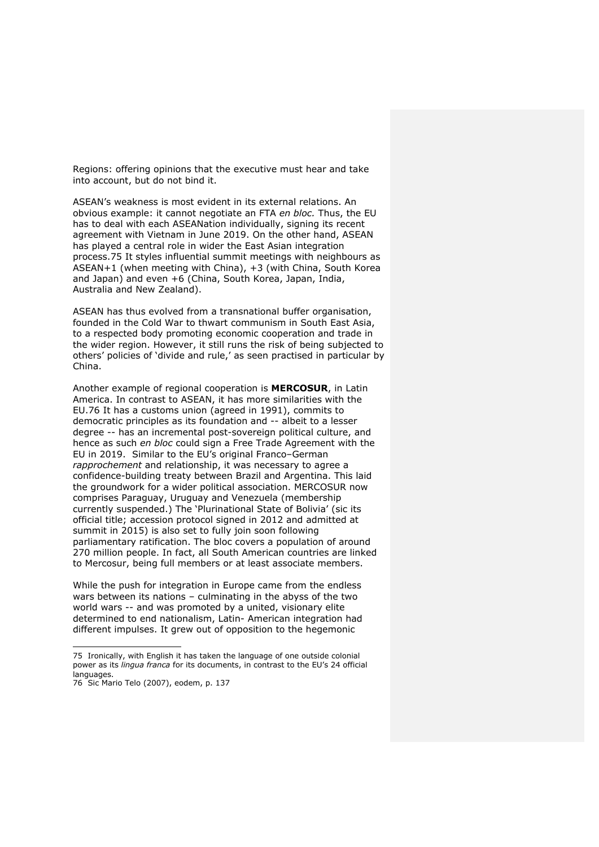Regions: offering opinions that the executive must hear and take into account, but do not bind it.

ASEAN's weakness is most evident in its external relations. An obvious example: it cannot negotiate an FTA *en bloc.* Thus, the EU has to deal with each ASEANation individually, signing its recent agreement with Vietnam in June 2019. On the other hand, ASEAN has played a central role in wider the East Asian integration process.75 It styles influential summit meetings with neighbours as ASEAN+1 (when meeting with China), +3 (with China, South Korea and Japan) and even +6 (China, South Korea, Japan, India, Australia and New Zealand).

ASEAN has thus evolved from a transnational buffer organisation, founded in the Cold War to thwart communism in South East Asia, to a respected body promoting economic cooperation and trade in the wider region. However, it still runs the risk of being subjected to others' policies of 'divide and rule,' as seen practised in particular by China.

Another example of regional cooperation is **MERCOSUR**, in Latin America. In contrast to ASEAN, it has more similarities with the EU.76 It has a customs union (agreed in 1991), commits to democratic principles as its foundation and -- albeit to a lesser degree -- has an incremental post-sovereign political culture, and hence as such *en bloc* could sign a Free Trade Agreement with the EU in 2019. Similar to the EU's original Franco–German *rapprochement* and relationship, it was necessary to agree a confidence-building treaty between Brazil and Argentina. This laid the groundwork for a wider political association. MERCOSUR now comprises Paraguay, Uruguay and Venezuela (membership currently suspended.) The 'Plurinational State of Bolivia' (sic its official title; accession protocol signed in 2012 and admitted at summit in 2015) is also set to fully join soon following parliamentary ratification. The bloc covers a population of around 270 million people. In fact, all South American countries are linked to Mercosur, being full members or at least associate members.

While the push for integration in Europe came from the endless wars between its nations – culminating in the abyss of the two world wars -- and was promoted by a united, visionary elite determined to end nationalism, Latin- American integration had different impulses. It grew out of opposition to the hegemonic

<sup>75</sup> Ironically, with English it has taken the language of one outside colonial power as its *lingua franca* for its documents, in contrast to the EU's 24 official languages.

<sup>76</sup> Sic Mario Telo (2007), eodem, p. 137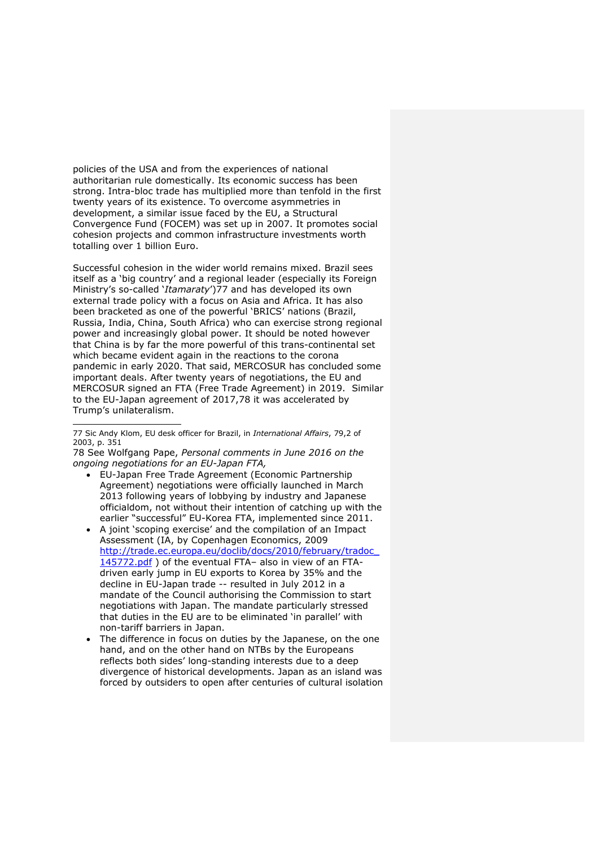policies of the USA and from the experiences of national authoritarian rule domestically. Its economic success has been strong. Intra-bloc trade has multiplied more than tenfold in the first twenty years of its existence. To overcome asymmetries in development, a similar issue faced by the EU, a Structural Convergence Fund (FOCEM) was set up in 2007. It promotes social cohesion projects and common infrastructure investments worth totalling over 1 billion Euro.

Successful cohesion in the wider world remains mixed. Brazil sees itself as a 'big country' and a regional leader (especially its Foreign Ministry's so-called '*Itamaraty*')77 and has developed its own external trade policy with a focus on Asia and Africa. It has also been bracketed as one of the powerful 'BRICS' nations (Brazil, Russia, India, China, South Africa) who can exercise strong regional power and increasingly global power. It should be noted however that China is by far the more powerful of this trans-continental set which became evident again in the reactions to the corona pandemic in early 2020. That said, MERCOSUR has concluded some important deals. After twenty years of negotiations, the EU and MERCOSUR signed an FTA (Free Trade Agreement) in 2019. Similar to the EU-Japan agreement of 2017,78 it was accelerated by Trump's unilateralism.

78 See Wolfgang Pape, *Personal comments in June 2016 on the ongoing negotiations for an EU-Japan FTA,*

- EU-Japan Free Trade Agreement (Economic Partnership Agreement) negotiations were officially launched in March 2013 following years of lobbying by industry and Japanese officialdom, not without their intention of catching up with the earlier "successful" EU-Korea FTA, implemented since 2011.
- A joint 'scoping exercise' and the compilation of an Impact Assessment (IA, by Copenhagen Economics, 2009 http://trade.ec.europa.eu/doclib/docs/2010/february/tradoc\_ 145772.pdf ) of the eventual FTA- also in view of an FTAdriven early jump in EU exports to Korea by 35% and the decline in EU-Japan trade -- resulted in July 2012 in a mandate of the Council authorising the Commission to start negotiations with Japan. The mandate particularly stressed that duties in the EU are to be eliminated 'in parallel' with non-tariff barriers in Japan.
- The difference in focus on duties by the Japanese, on the one hand, and on the other hand on NTBs by the Europeans reflects both sides' long-standing interests due to a deep divergence of historical developments. Japan as an island was forced by outsiders to open after centuries of cultural isolation

<sup>77</sup> Sic Andy Klom, EU desk officer for Brazil, in *International Affairs*, 79,2 of 2003, p. 351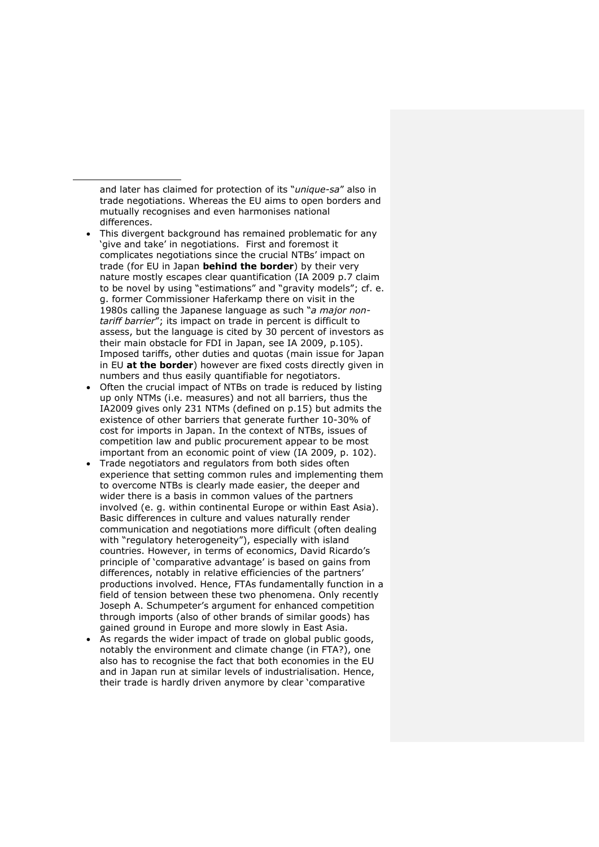and later has claimed for protection of its "*unique-sa*" also in trade negotiations. Whereas the EU aims to open borders and mutually recognises and even harmonises national differences.

- This divergent background has remained problematic for any 'give and take' in negotiations. First and foremost it complicates negotiations since the crucial NTBs' impact on trade (for EU in Japan **behind the border**) by their very nature mostly escapes clear quantification (IA 2009 p.7 claim to be novel by using "estimations" and "gravity models"; cf. e. g. former Commissioner Haferkamp there on visit in the 1980s calling the Japanese language as such "*a major nontariff barrier*"; its impact on trade in percent is difficult to assess, but the language is cited by 30 percent of investors as their main obstacle for FDI in Japan, see IA 2009, p.105). Imposed tariffs, other duties and quotas (main issue for Japan in EU **at the border**) however are fixed costs directly given in numbers and thus easily quantifiable for negotiators.
- Often the crucial impact of NTBs on trade is reduced by listing up only NTMs (i.e. measures) and not all barriers, thus the IA2009 gives only 231 NTMs (defined on p.15) but admits the existence of other barriers that generate further 10-30% of cost for imports in Japan. In the context of NTBs, issues of competition law and public procurement appear to be most important from an economic point of view (IA 2009, p. 102).
- Trade negotiators and regulators from both sides often experience that setting common rules and implementing them to overcome NTBs is clearly made easier, the deeper and wider there is a basis in common values of the partners involved (e. g. within continental Europe or within East Asia). Basic differences in culture and values naturally render communication and negotiations more difficult (often dealing with "regulatory heterogeneity"), especially with island countries. However, in terms of economics, David Ricardo's principle of 'comparative advantage' is based on gains from differences, notably in relative efficiencies of the partners' productions involved. Hence, FTAs fundamentally function in a field of tension between these two phenomena. Only recently Joseph A. Schumpeter's argument for enhanced competition through imports (also of other brands of similar goods) has gained ground in Europe and more slowly in East Asia.
- As regards the wider impact of trade on global public goods, notably the environment and climate change (in FTA?), one also has to recognise the fact that both economies in the EU and in Japan run at similar levels of industrialisation. Hence, their trade is hardly driven anymore by clear 'comparative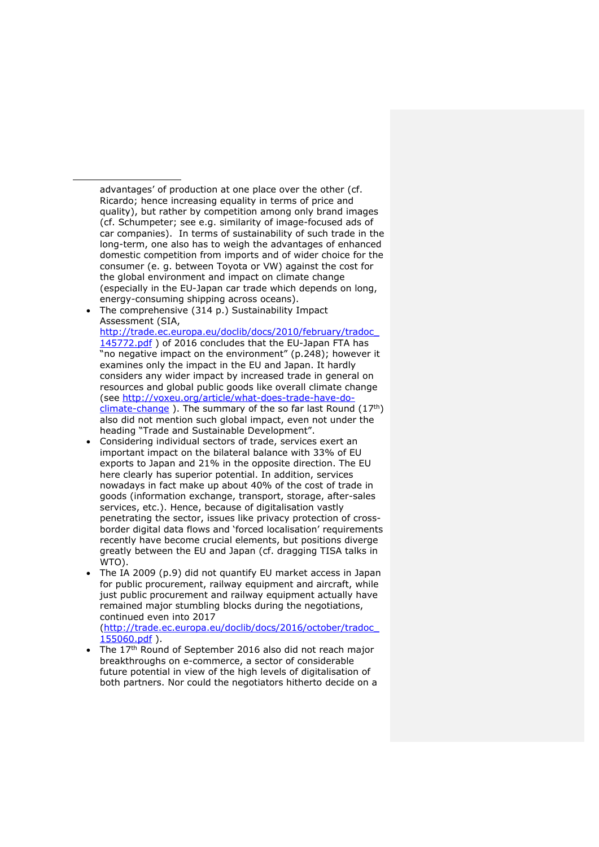advantages' of production at one place over the other (cf. Ricardo; hence increasing equality in terms of price and quality), but rather by competition among only brand images (cf. Schumpeter; see e.g. similarity of image-focused ads of car companies). In terms of sustainability of such trade in the long-term, one also has to weigh the advantages of enhanced domestic competition from imports and of wider choice for the consumer (e. g. between Toyota or VW) against the cost for the global environment and impact on climate change (especially in the EU-Japan car trade which depends on long, energy-consuming shipping across oceans).

The comprehensive (314 p.) Sustainability Impact Assessment (SIA,

http://trade.ec.europa.eu/doclib/docs/2010/february/tradoc\_ 145772.pdf ) of 2016 concludes that the EU-Japan FTA has "no negative impact on the environment" (p.248); however it examines only the impact in the EU and Japan. It hardly considers any wider impact by increased trade in general on resources and global public goods like overall climate change (see http://voxeu.org/article/what-does-trade-have-do $climate$ -change ). The summary of the so far last Round (17<sup>th</sup>) also did not mention such global impact, even not under the heading "Trade and Sustainable Development".

- Considering individual sectors of trade, services exert an important impact on the bilateral balance with 33% of EU exports to Japan and 21% in the opposite direction. The EU here clearly has superior potential. In addition, services nowadays in fact make up about 40% of the cost of trade in goods (information exchange, transport, storage, after-sales services, etc.). Hence, because of digitalisation vastly penetrating the sector, issues like privacy protection of crossborder digital data flows and 'forced localisation' requirements recently have become crucial elements, but positions diverge greatly between the EU and Japan (cf. dragging TISA talks in WTO).
- The IA 2009 (p.9) did not quantify EU market access in Japan for public procurement, railway equipment and aircraft, while just public procurement and railway equipment actually have remained major stumbling blocks during the negotiations, continued even into 2017

(http://trade.ec.europa.eu/doclib/docs/2016/october/tradoc\_ 155060.pdf ).

The 17<sup>th</sup> Round of September 2016 also did not reach major breakthroughs on e-commerce, a sector of considerable future potential in view of the high levels of digitalisation of both partners. Nor could the negotiators hitherto decide on a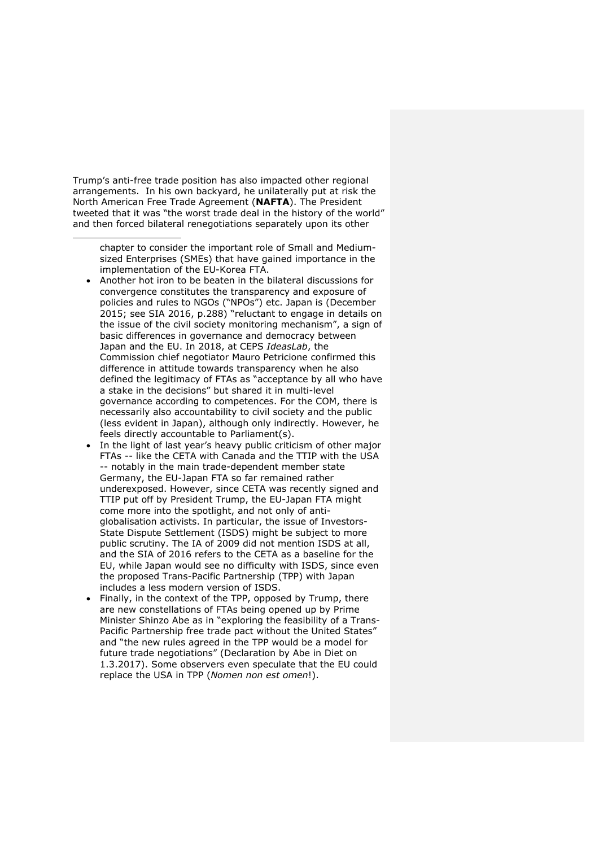Trump's anti-free trade position has also impacted other regional arrangements. In his own backyard, he unilaterally put at risk the North American Free Trade Agreement (**NAFTA**). The President tweeted that it was "the worst trade deal in the history of the world" and then forced bilateral renegotiations separately upon its other

chapter to consider the important role of Small and Mediumsized Enterprises (SMEs) that have gained importance in the implementation of the EU-Korea FTA.

- Another hot iron to be beaten in the bilateral discussions for convergence constitutes the transparency and exposure of policies and rules to NGOs ("NPOs") etc. Japan is (December 2015; see SIA 2016, p.288) "reluctant to engage in details on the issue of the civil society monitoring mechanism", a sign of basic differences in governance and democracy between Japan and the EU. In 2018, at CEPS *IdeasLab*, the Commission chief negotiator Mauro Petricione confirmed this difference in attitude towards transparency when he also defined the legitimacy of FTAs as "acceptance by all who have a stake in the decisions" but shared it in multi-level governance according to competences. For the COM, there is necessarily also accountability to civil society and the public (less evident in Japan), although only indirectly. However, he feels directly accountable to Parliament(s).
- In the light of last year's heavy public criticism of other major FTAs -- like the CETA with Canada and the TTIP with the USA -- notably in the main trade-dependent member state Germany, the EU-Japan FTA so far remained rather underexposed. However, since CETA was recently signed and TTIP put off by President Trump, the EU-Japan FTA might come more into the spotlight, and not only of antiglobalisation activists. In particular, the issue of Investors-State Dispute Settlement (ISDS) might be subject to more public scrutiny. The IA of 2009 did not mention ISDS at all, and the SIA of 2016 refers to the CETA as a baseline for the EU, while Japan would see no difficulty with ISDS, since even the proposed Trans-Pacific Partnership (TPP) with Japan includes a less modern version of ISDS.
- Finally, in the context of the TPP, opposed by Trump, there are new constellations of FTAs being opened up by Prime Minister Shinzo Abe as in "exploring the feasibility of a Trans-Pacific Partnership free trade pact without the United States" and "the new rules agreed in the TPP would be a model for future trade negotiations" (Declaration by Abe in Diet on 1.3.2017). Some observers even speculate that the EU could replace the USA in TPP (*Nomen non est omen*!).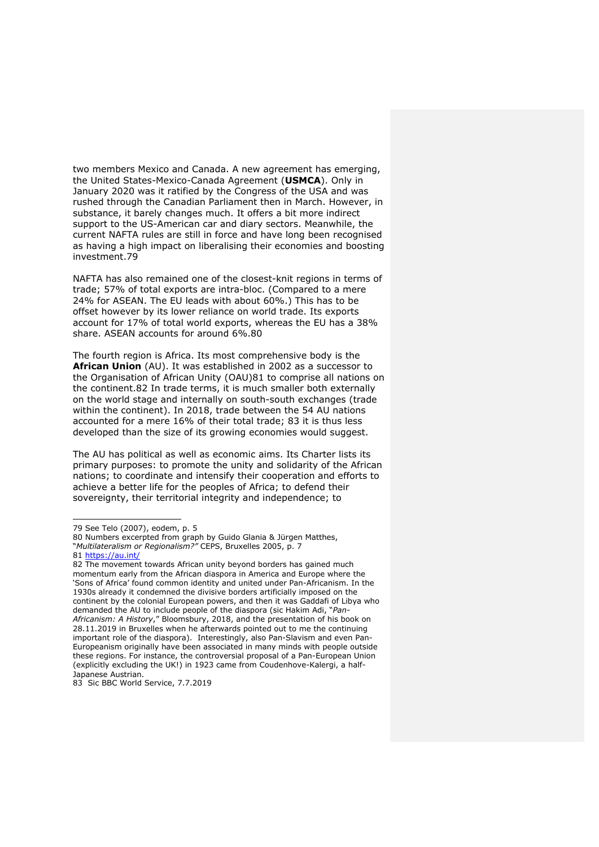two members Mexico and Canada. A new agreement has emerging, the United States-Mexico-Canada Agreement (**USMCA**). Only in January 2020 was it ratified by the Congress of the USA and was rushed through the Canadian Parliament then in March. However, in substance, it barely changes much. It offers a bit more indirect support to the US-American car and diary sectors. Meanwhile, the current NAFTA rules are still in force and have long been recognised as having a high impact on liberalising their economies and boosting investment.79

NAFTA has also remained one of the closest-knit regions in terms of trade; 57% of total exports are intra-bloc. (Compared to a mere 24% for ASEAN. The EU leads with about 60%.) This has to be offset however by its lower reliance on world trade. Its exports account for 17% of total world exports, whereas the EU has a 38% share. ASEAN accounts for around 6%.80

The fourth region is Africa. Its most comprehensive body is the **African Union** (AU). It was established in 2002 as a successor to the Organisation of African Unity (OAU)81 to comprise all nations on the continent.82 In trade terms, it is much smaller both externally on the world stage and internally on south-south exchanges (trade within the continent). In 2018, trade between the 54 AU nations accounted for a mere 16% of their total trade; 83 it is thus less developed than the size of its growing economies would suggest.

The AU has political as well as economic aims. Its Charter lists its primary purposes: to promote the unity and solidarity of the African nations; to coordinate and intensify their cooperation and efforts to achieve a better life for the peoples of Africa; to defend their sovereignty, their territorial integrity and independence; to

83 Sic BBC World Service, 7.7.2019

<sup>79</sup> See Telo (2007), eodem, p. 5

<sup>80</sup> Numbers excerpted from graph by Guido Glania & Jürgen Matthes, "*Multilateralism or Regionalism?"* CEPS, Bruxelles 2005, p. 7

<sup>81</sup> https://au.int/

<sup>82</sup> The movement towards African unity beyond borders has gained much momentum early from the African diaspora in America and Europe where the 'Sons of Africa' found common identity and united under Pan-Africanism. In the 1930s already it condemned the divisive borders artificially imposed on the continent by the colonial European powers, and then it was Gaddafi of Libya who demanded the AU to include people of the diaspora (sic Hakim Adi, "*Pan-Africanism: A History*," Bloomsbury, 2018, and the presentation of his book on 28.11.2019 in Bruxelles when he afterwards pointed out to me the continuing important role of the diaspora). Interestingly, also Pan-Slavism and even Pan-Europeanism originally have been associated in many minds with people outside these regions. For instance, the controversial proposal of a Pan-European Union (explicitly excluding the UK!) in 1923 came from Coudenhove-Kalergi, a half-Japanese Austrian.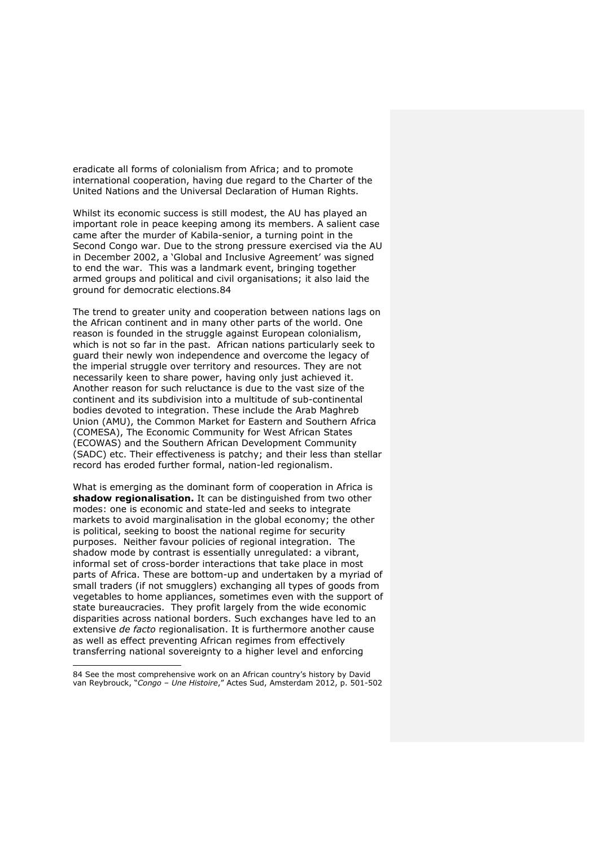eradicate all forms of colonialism from Africa; and to promote international cooperation, having due regard to the Charter of the United Nations and the Universal Declaration of Human Rights.

Whilst its economic success is still modest, the AU has played an important role in peace keeping among its members. A salient case came after the murder of Kabila-senior, a turning point in the Second Congo war. Due to the strong pressure exercised via the AU in December 2002, a 'Global and Inclusive Agreement' was signed to end the war. This was a landmark event, bringing together armed groups and political and civil organisations; it also laid the ground for democratic elections.84

The trend to greater unity and cooperation between nations lags on the African continent and in many other parts of the world. One reason is founded in the struggle against European colonialism, which is not so far in the past. African nations particularly seek to guard their newly won independence and overcome the legacy of the imperial struggle over territory and resources. They are not necessarily keen to share power, having only just achieved it. Another reason for such reluctance is due to the vast size of the continent and its subdivision into a multitude of sub-continental bodies devoted to integration. These include the Arab Maghreb Union (AMU), the Common Market for Eastern and Southern Africa (COMESA), The Economic Community for West African States (ECOWAS) and the Southern African Development Community (SADC) etc. Their effectiveness is patchy; and their less than stellar record has eroded further formal, nation-led regionalism.

What is emerging as the dominant form of cooperation in Africa is **shadow regionalisation.** It can be distinguished from two other modes: one is economic and state-led and seeks to integrate markets to avoid marginalisation in the global economy; the other is political, seeking to boost the national regime for security purposes. Neither favour policies of regional integration. The shadow mode by contrast is essentially unregulated: a vibrant, informal set of cross-border interactions that take place in most parts of Africa. These are bottom-up and undertaken by a myriad of small traders (if not smugglers) exchanging all types of goods from vegetables to home appliances, sometimes even with the support of state bureaucracies. They profit largely from the wide economic disparities across national borders. Such exchanges have led to an extensive *de facto* regionalisation. It is furthermore another cause as well as effect preventing African regimes from effectively transferring national sovereignty to a higher level and enforcing

<sup>84</sup> See the most comprehensive work on an African country's history by David van Reybrouck, "*Congo – Une Histoire*," Actes Sud, Amsterdam 2012, p. 501-502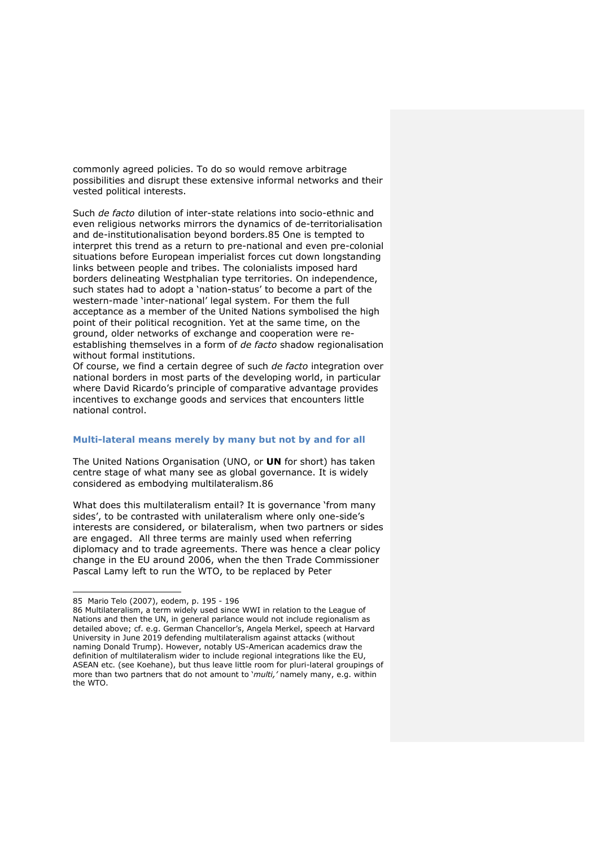commonly agreed policies. To do so would remove arbitrage possibilities and disrupt these extensive informal networks and their vested political interests.

Such *de facto* dilution of inter-state relations into socio-ethnic and even religious networks mirrors the dynamics of de-territorialisation and de-institutionalisation beyond borders.85 One is tempted to interpret this trend as a return to pre-national and even pre-colonial situations before European imperialist forces cut down longstanding links between people and tribes. The colonialists imposed hard borders delineating Westphalian type territories. On independence, such states had to adopt a 'nation-status' to become a part of the western-made 'inter-national' legal system. For them the full acceptance as a member of the United Nations symbolised the high point of their political recognition. Yet at the same time, on the ground, older networks of exchange and cooperation were reestablishing themselves in a form of *de facto* shadow regionalisation without formal institutions.

Of course, we find a certain degree of such *de facto* integration over national borders in most parts of the developing world, in particular where David Ricardo's principle of comparative advantage provides incentives to exchange goods and services that encounters little national control.

# **Multi-lateral means merely by many but not by and for all**

The United Nations Organisation (UNO, or **UN** for short) has taken centre stage of what many see as global governance. It is widely considered as embodying multilateralism.86

What does this multilateralism entail? It is governance 'from many sides', to be contrasted with unilateralism where only one-side's interests are considered, or bilateralism, when two partners or sides are engaged. All three terms are mainly used when referring diplomacy and to trade agreements. There was hence a clear policy change in the EU around 2006, when the then Trade Commissioner Pascal Lamy left to run the WTO, to be replaced by Peter

<sup>85</sup> Mario Telo (2007), eodem, p. 195 - 196

<sup>86</sup> Multilateralism, a term widely used since WWI in relation to the League of Nations and then the UN, in general parlance would not include regionalism as detailed above; cf. e.g. German Chancellor's, Angela Merkel, speech at Harvard University in June 2019 defending multilateralism against attacks (without naming Donald Trump). However, notably US-American academics draw the definition of multilateralism wider to include regional integrations like the EU, ASEAN etc. (see Koehane), but thus leave little room for pluri-lateral groupings of more than two partners that do not amount to '*multi,'* namely many, e.g. within the WTO.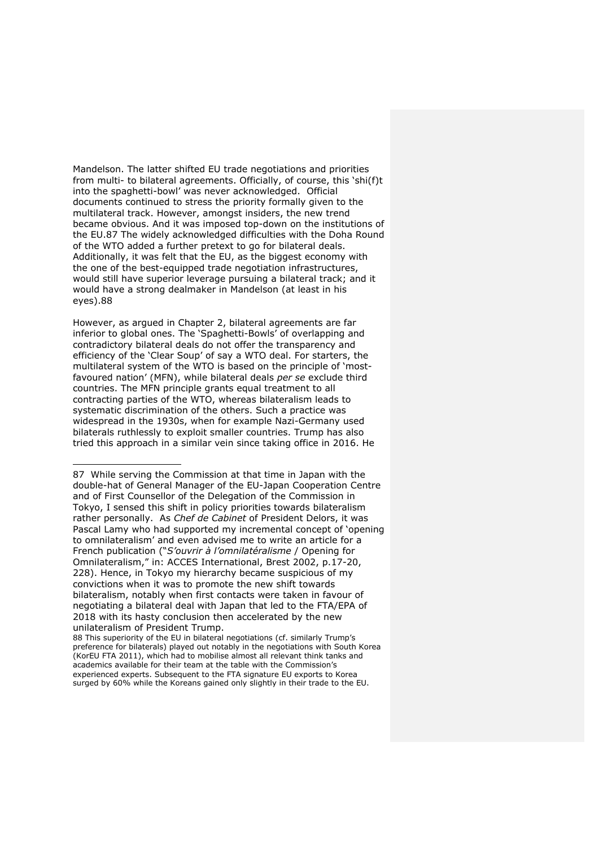Mandelson. The latter shifted EU trade negotiations and priorities from multi- to bilateral agreements. Officially, of course, this 'shi(f)t into the spaghetti-bowl' was never acknowledged. Official documents continued to stress the priority formally given to the multilateral track. However, amongst insiders, the new trend became obvious. And it was imposed top-down on the institutions of the EU.87 The widely acknowledged difficulties with the Doha Round of the WTO added a further pretext to go for bilateral deals. Additionally, it was felt that the EU, as the biggest economy with the one of the best-equipped trade negotiation infrastructures, would still have superior leverage pursuing a bilateral track; and it would have a strong dealmaker in Mandelson (at least in his eyes).88

However, as argued in Chapter 2, bilateral agreements are far inferior to global ones. The 'Spaghetti-Bowls' of overlapping and contradictory bilateral deals do not offer the transparency and efficiency of the 'Clear Soup' of say a WTO deal. For starters, the multilateral system of the WTO is based on the principle of 'mostfavoured nation' (MFN), while bilateral deals *per se* exclude third countries. The MFN principle grants equal treatment to all contracting parties of the WTO, whereas bilateralism leads to systematic discrimination of the others. Such a practice was widespread in the 1930s, when for example Nazi-Germany used bilaterals ruthlessly to exploit smaller countries. Trump has also tried this approach in a similar vein since taking office in 2016. He

<sup>87</sup> While serving the Commission at that time in Japan with the double-hat of General Manager of the EU-Japan Cooperation Centre and of First Counsellor of the Delegation of the Commission in Tokyo, I sensed this shift in policy priorities towards bilateralism rather personally. As *Chef de Cabinet* of President Delors, it was Pascal Lamy who had supported my incremental concept of 'opening to omnilateralism' and even advised me to write an article for a French publication ("*S'ouvrir à l'omnilatéralisme* / Opening for Omnilateralism," in: ACCES International, Brest 2002, p.17-20, 228). Hence, in Tokyo my hierarchy became suspicious of my convictions when it was to promote the new shift towards bilateralism, notably when first contacts were taken in favour of negotiating a bilateral deal with Japan that led to the FTA/EPA of 2018 with its hasty conclusion then accelerated by the new unilateralism of President Trump.

<sup>88</sup> This superiority of the EU in bilateral negotiations (cf. similarly Trump's preference for bilaterals) played out notably in the negotiations with South Korea (KorEU FTA 2011), which had to mobilise almost all relevant think tanks and academics available for their team at the table with the Commission's experienced experts. Subsequent to the FTA signature EU exports to Korea surged by 60% while the Koreans gained only slightly in their trade to the EU.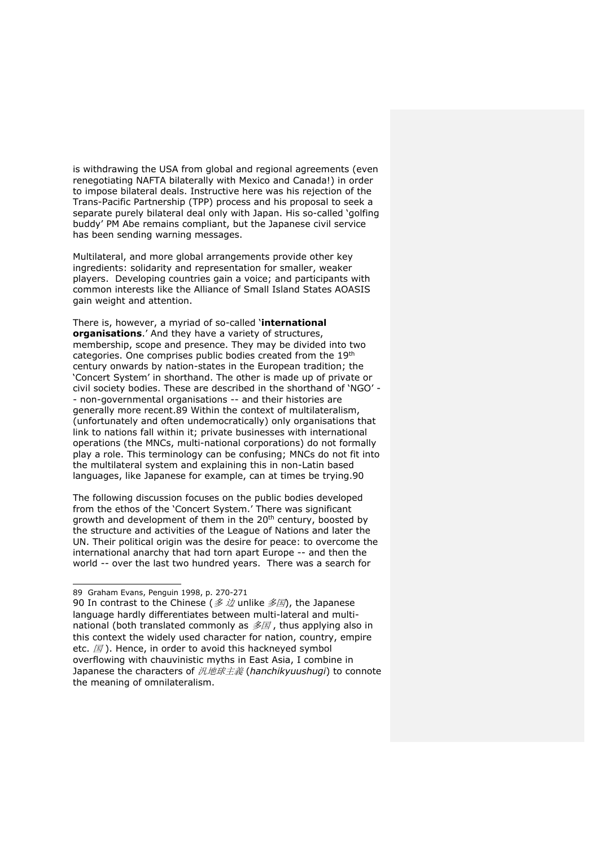is withdrawing the USA from global and regional agreements (even renegotiating NAFTA bilaterally with Mexico and Canada!) in order to impose bilateral deals. Instructive here was his rejection of the Trans-Pacific Partnership (TPP) process and his proposal to seek a separate purely bilateral deal only with Japan. His so-called 'golfing buddy' PM Abe remains compliant, but the Japanese civil service has been sending warning messages.

Multilateral, and more global arrangements provide other key ingredients: solidarity and representation for smaller, weaker players. Developing countries gain a voice; and participants with common interests like the Alliance of Small Island States AOASIS gain weight and attention.

There is, however, a myriad of so-called '**international organisations**.' And they have a variety of structures, membership, scope and presence. They may be divided into two categories. One comprises public bodies created from the 19th century onwards by nation-states in the European tradition; the 'Concert System' in shorthand. The other is made up of private or civil society bodies. These are described in the shorthand of 'NGO' - - non-governmental organisations -- and their histories are generally more recent.89 Within the context of multilateralism, (unfortunately and often undemocratically) only organisations that link to nations fall within it; private businesses with international operations (the MNCs, multi-national corporations) do not formally play a role. This terminology can be confusing; MNCs do not fit into the multilateral system and explaining this in non-Latin based languages, like Japanese for example, can at times be trying.90

The following discussion focuses on the public bodies developed from the ethos of the 'Concert System.' There was significant growth and development of them in the 20<sup>th</sup> century, boosted by the structure and activities of the League of Nations and later the UN. Their political origin was the desire for peace: to overcome the international anarchy that had torn apart Europe -- and then the world -- over the last two hundred years. There was a search for

<sup>89</sup> Graham Evans, Penguin 1998, p. 270-271

<sup>90</sup> In contrast to the Chinese (多边 unlike 多国), the Japanese language hardly differentiates between multi-lateral and multinational (both translated commonly as  $\mathscr{F}\boxtimes$ , thus applying also in this context the widely used character for nation, country, empire etc.  $\mathbb{E}$ ). Hence, in order to avoid this hackneyed symbol overflowing with chauvinistic myths in East Asia, I combine in Japanese the characters of 汎地球主義 (*hanchikyuushugi*) to connote the meaning of omnilateralism.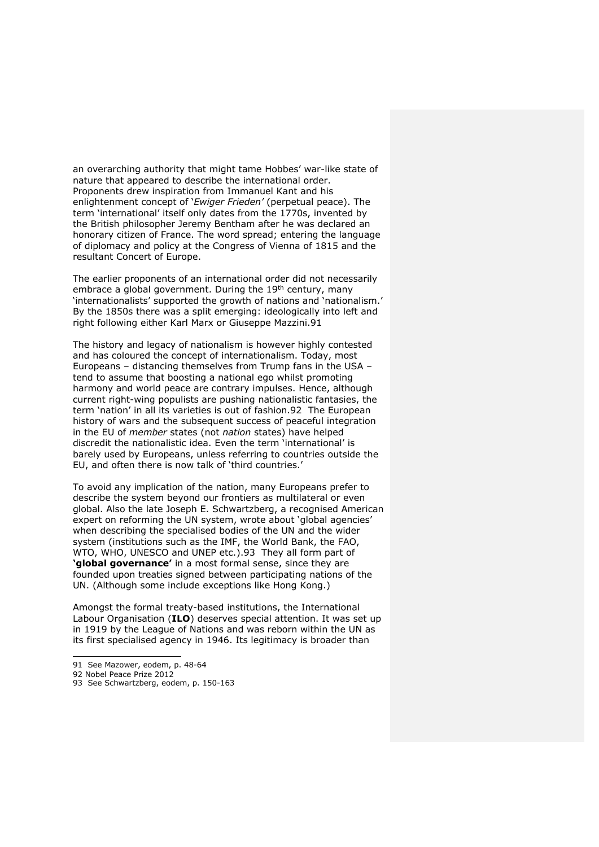an overarching authority that might tame Hobbes' war-like state of nature that appeared to describe the international order. Proponents drew inspiration from Immanuel Kant and his enlightenment concept of '*Ewiger Frieden'* (perpetual peace). The term 'international' itself only dates from the 1770s, invented by the British philosopher Jeremy Bentham after he was declared an honorary citizen of France. The word spread; entering the language of diplomacy and policy at the Congress of Vienna of 1815 and the resultant Concert of Europe.

The earlier proponents of an international order did not necessarily embrace a global government. During the 19<sup>th</sup> century, many 'internationalists' supported the growth of nations and 'nationalism.' By the 1850s there was a split emerging: ideologically into left and right following either Karl Marx or Giuseppe Mazzini.91

The history and legacy of nationalism is however highly contested and has coloured the concept of internationalism. Today, most Europeans – distancing themselves from Trump fans in the USA – tend to assume that boosting a national ego whilst promoting harmony and world peace are contrary impulses. Hence, although current right-wing populists are pushing nationalistic fantasies, the term 'nation' in all its varieties is out of fashion.92 The European history of wars and the subsequent success of peaceful integration in the EU of *member* states (not *nation* states) have helped discredit the nationalistic idea. Even the term 'international' is barely used by Europeans, unless referring to countries outside the EU, and often there is now talk of 'third countries.'

To avoid any implication of the nation, many Europeans prefer to describe the system beyond our frontiers as multilateral or even global. Also the late Joseph E. Schwartzberg, a recognised American expert on reforming the UN system, wrote about 'global agencies' when describing the specialised bodies of the UN and the wider system (institutions such as the IMF, the World Bank, the FAO, WTO, WHO, UNESCO and UNEP etc.).93 They all form part of **'global governance'** in a most formal sense, since they are founded upon treaties signed between participating nations of the UN. (Although some include exceptions like Hong Kong.)

Amongst the formal treaty-based institutions, the International Labour Organisation (**ILO**) deserves special attention. It was set up in 1919 by the League of Nations and was reborn within the UN as its first specialised agency in 1946. Its legitimacy is broader than

- 91 See Mazower, eodem, p. 48-64
- 92 Nobel Peace Prize 2012
- 93 See Schwartzberg, eodem, p. 150-163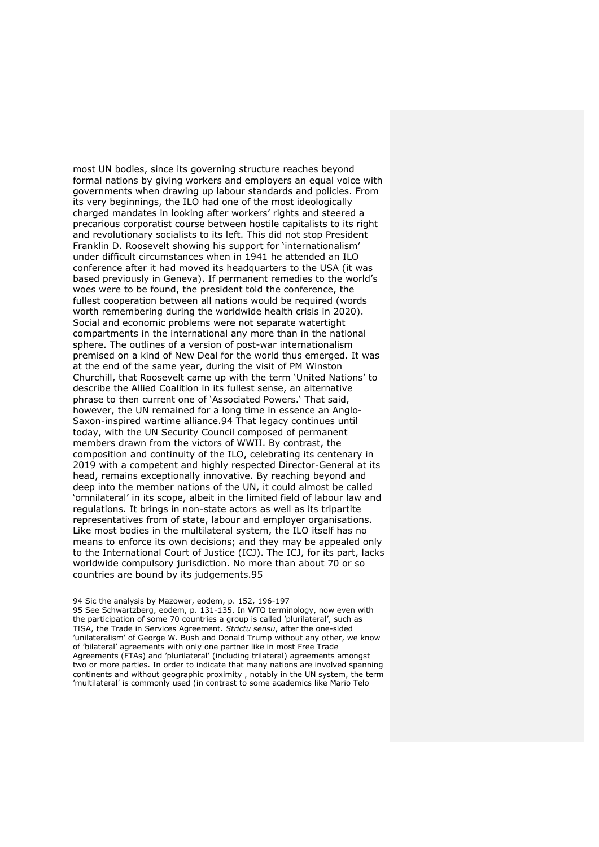most UN bodies, since its governing structure reaches beyond formal nations by giving workers and employers an equal voice with governments when drawing up labour standards and policies. From its very beginnings, the ILO had one of the most ideologically charged mandates in looking after workers' rights and steered a precarious corporatist course between hostile capitalists to its right and revolutionary socialists to its left. This did not stop President Franklin D. Roosevelt showing his support for 'internationalism' under difficult circumstances when in 1941 he attended an ILO conference after it had moved its headquarters to the USA (it was based previously in Geneva). If permanent remedies to the world's woes were to be found, the president told the conference, the fullest cooperation between all nations would be required (words worth remembering during the worldwide health crisis in 2020). Social and economic problems were not separate watertight compartments in the international any more than in the national sphere. The outlines of a version of post-war internationalism premised on a kind of New Deal for the world thus emerged. It was at the end of the same year, during the visit of PM Winston Churchill, that Roosevelt came up with the term 'United Nations' to describe the Allied Coalition in its fullest sense, an alternative phrase to then current one of 'Associated Powers.' That said, however, the UN remained for a long time in essence an Anglo-Saxon-inspired wartime alliance.94 That legacy continues until today, with the UN Security Council composed of permanent members drawn from the victors of WWII. By contrast, the composition and continuity of the ILO, celebrating its centenary in 2019 with a competent and highly respected Director-General at its head, remains exceptionally innovative. By reaching beyond and deep into the member nations of the UN, it could almost be called 'omnilateral' in its scope, albeit in the limited field of labour law and regulations. It brings in non-state actors as well as its tripartite representatives from of state, labour and employer organisations. Like most bodies in the multilateral system, the ILO itself has no means to enforce its own decisions; and they may be appealed only to the International Court of Justice (ICJ). The ICJ, for its part, lacks worldwide compulsory jurisdiction. No more than about 70 or so countries are bound by its judgements.95

<sup>94</sup> Sic the analysis by Mazower, eodem, p. 152, 196-197

<sup>95</sup> See Schwartzberg, eodem, p. 131-135. In WTO terminology, now even with the participation of some 70 countries a group is called 'plurilateral', such as TISA, the Trade in Services Agreement. *Strictu sensu*, after the one-sided 'unilateralism' of George W. Bush and Donald Trump without any other, we know of 'bilateral' agreements with only one partner like in most Free Trade Agreements (FTAs) and 'plurilateral' (including trilateral) agreements amongst two or more parties. In order to indicate that many nations are involved spanning continents and without geographic proximity , notably in the UN system, the term 'multilateral' is commonly used (in contrast to some academics like Mario Telo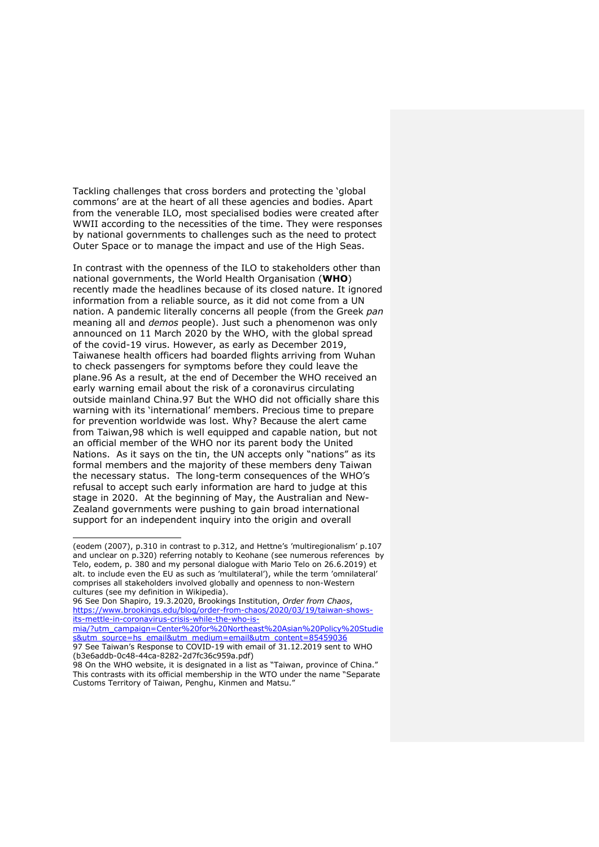Tackling challenges that cross borders and protecting the 'global commons' are at the heart of all these agencies and bodies. Apart from the venerable ILO, most specialised bodies were created after WWII according to the necessities of the time. They were responses by national governments to challenges such as the need to protect Outer Space or to manage the impact and use of the High Seas.

In contrast with the openness of the ILO to stakeholders other than national governments, the World Health Organisation (**WHO**) recently made the headlines because of its closed nature. It ignored information from a reliable source, as it did not come from a UN nation. A pandemic literally concerns all people (from the Greek *pan* meaning all and *demos* people). Just such a phenomenon was only announced on 11 March 2020 by the WHO, with the global spread of the covid-19 virus. However, as early as December 2019, Taiwanese health officers had boarded flights arriving from Wuhan to check passengers for symptoms before they could leave the plane.96 As a result, at the end of December the WHO received an early warning email about the risk of a coronavirus circulating outside mainland China.97 But the WHO did not officially share this warning with its 'international' members. Precious time to prepare for prevention worldwide was lost. Why? Because the alert came from Taiwan,98 which is well equipped and capable nation, but not an official member of the WHO nor its parent body the United Nations. As it says on the tin, the UN accepts only "nations" as its formal members and the majority of these members deny Taiwan the necessary status. The long-term consequences of the WHO's refusal to accept such early information are hard to judge at this stage in 2020. At the beginning of May, the Australian and New-Zealand governments were pushing to gain broad international support for an independent inquiry into the origin and overall

96 See Don Shapiro, 19.3.2020, Brookings Institution, *Order from Chaos*, https://www.brookings.edu/blog/order-from-chaos/2020/03/19/taiwan-showsits-mettle-in-coronavirus-crisis-while-the-who-is-

mia/?utm\_campaign=Center%20for%20Northeast%20Asian%20Policy%20Studie s&utm\_source=hs\_email&utm\_medium=email&utm\_content=85459036 97 See Taiwan's Response to COVID-19 with email of 31.12.2019 sent to WHO (b3e6addb-0c48-44ca-8282-2d7fc36c959a.pdf)

<sup>(</sup>eodem (2007), p.310 in contrast to p.312, and Hettne's 'multiregionalism' p.107 and unclear on p.320) referring notably to Keohane (see numerous references by Telo, eodem, p. 380 and my personal dialogue with Mario Telo on 26.6.2019) et alt. to include even the EU as such as 'multilateral'), while the term 'omnilateral' comprises all stakeholders involved globally and openness to non-Western cultures (see my definition in Wikipedia).

<sup>98</sup> On the WHO website, it is designated in a list as "Taiwan, province of China." This contrasts with its official membership in the WTO under the name "Separate Customs Territory of Taiwan, Penghu, Kinmen and Matsu."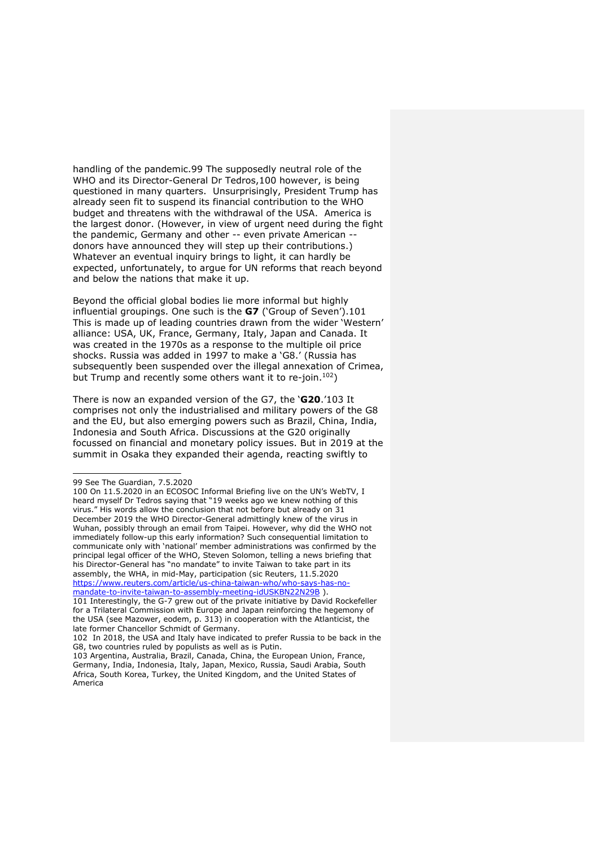handling of the pandemic.99 The supposedly neutral role of the WHO and its Director-General Dr Tedros,100 however, is being questioned in many quarters. Unsurprisingly, President Trump has already seen fit to suspend its financial contribution to the WHO budget and threatens with the withdrawal of the USA. America is the largest donor. (However, in view of urgent need during the fight the pandemic, Germany and other -- even private American - donors have announced they will step up their contributions.) Whatever an eventual inquiry brings to light, it can hardly be expected, unfortunately, to argue for UN reforms that reach beyond and below the nations that make it up.

Beyond the official global bodies lie more informal but highly influential groupings. One such is the **G7** ('Group of Seven').101 This is made up of leading countries drawn from the wider 'Western' alliance: USA, UK, France, Germany, Italy, Japan and Canada. It was created in the 1970s as a response to the multiple oil price shocks. Russia was added in 1997 to make a 'G8.' (Russia has subsequently been suspended over the illegal annexation of Crimea, but Trump and recently some others want it to re-join.<sup>102</sup>)

There is now an expanded version of the G7, the '**G20**.'103 It comprises not only the industrialised and military powers of the G8 and the EU, but also emerging powers such as Brazil, China, India, Indonesia and South Africa. Discussions at the G20 originally focussed on financial and monetary policy issues. But in 2019 at the summit in Osaka they expanded their agenda, reacting swiftly to

<sup>99</sup> See The Guardian, 7.5.2020

<sup>100</sup> On 11.5.2020 in an ECOSOC Informal Briefing live on the UN's WebTV, I heard myself Dr Tedros saying that "19 weeks ago we knew nothing of this virus." His words allow the conclusion that not before but already on 31 December 2019 the WHO Director-General admittingly knew of the virus in Wuhan, possibly through an email from Taipei. However, why did the WHO not immediately follow-up this early information? Such consequential limitation to communicate only with 'national' member administrations was confirmed by the principal legal officer of the WHO, Steven Solomon, telling a news briefing that his Director-General has "no mandate" to invite Taiwan to take part in its assembly, the WHA, in mid-May, participation (sic Reuters, 11.5.2020 https://www.reuters.com/article/us-china-taiwan-who/who-says-has-nomandate-to-invite-taiwan-to-assembly-meeting-idUSKBN22N29B ).

<sup>101</sup> Interestingly, the G-7 grew out of the private initiative by David Rockefeller for a Trilateral Commission with Europe and Japan reinforcing the hegemony of the USA (see Mazower, eodem, p. 313) in cooperation with the Atlanticist, the late former Chancellor Schmidt of Germany.

<sup>102</sup> In 2018, the USA and Italy have indicated to prefer Russia to be back in the G8, two countries ruled by populists as well as is Putin.

<sup>103</sup> Argentina, Australia, Brazil, Canada, China, the European Union, France, Germany, India, Indonesia, Italy, Japan, Mexico, Russia, Saudi Arabia, South Africa, South Korea, Turkey, the United Kingdom, and the United States of America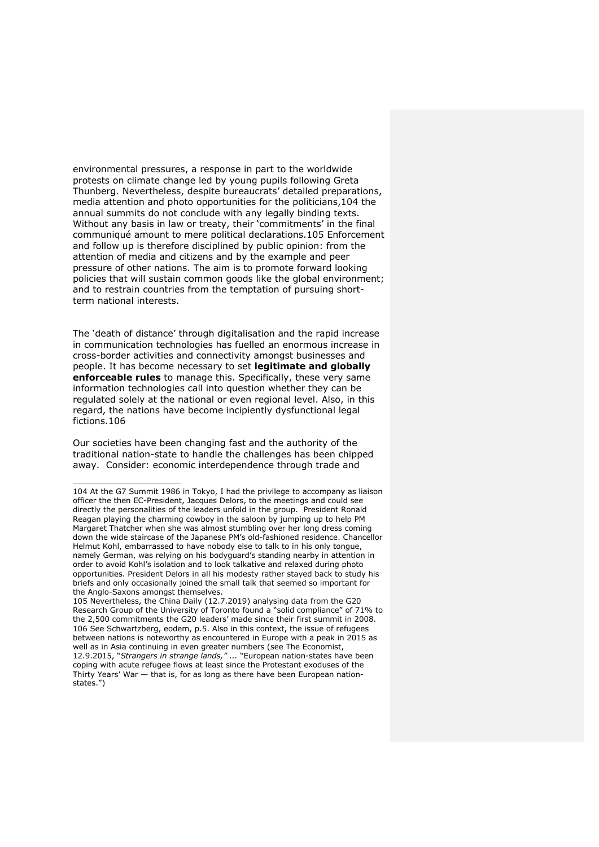environmental pressures, a response in part to the worldwide protests on climate change led by young pupils following Greta Thunberg. Nevertheless, despite bureaucrats' detailed preparations, media attention and photo opportunities for the politicians,104 the annual summits do not conclude with any legally binding texts. Without any basis in law or treaty, their 'commitments' in the final communiqué amount to mere political declarations.105 Enforcement and follow up is therefore disciplined by public opinion: from the attention of media and citizens and by the example and peer pressure of other nations. The aim is to promote forward looking policies that will sustain common goods like the global environment; and to restrain countries from the temptation of pursuing shortterm national interests.

The 'death of distance' through digitalisation and the rapid increase in communication technologies has fuelled an enormous increase in cross-border activities and connectivity amongst businesses and people. It has become necessary to set **legitimate and globally enforceable rules** to manage this. Specifically, these very same information technologies call into question whether they can be regulated solely at the national or even regional level. Also, in this regard, the nations have become incipiently dysfunctional legal fictions.106

Our societies have been changing fast and the authority of the traditional nation-state to handle the challenges has been chipped away. Consider: economic interdependence through trade and

<sup>104</sup> At the G7 Summit 1986 in Tokyo, I had the privilege to accompany as liaison officer the then EC-President, Jacques Delors, to the meetings and could see directly the personalities of the leaders unfold in the group. President Ronald Reagan playing the charming cowboy in the saloon by jumping up to help PM Margaret Thatcher when she was almost stumbling over her long dress coming down the wide staircase of the Japanese PM's old-fashioned residence. Chancellor Helmut Kohl, embarrassed to have nobody else to talk to in his only tongue, namely German, was relying on his bodyguard's standing nearby in attention in order to avoid Kohl's isolation and to look talkative and relaxed during photo opportunities. President Delors in all his modesty rather stayed back to study his briefs and only occasionally joined the small talk that seemed so important for the Anglo-Saxons amongst themselves.

<sup>105</sup> Nevertheless, the China Daily (12.7.2019) analysing data from the G20 Research Group of the University of Toronto found a "solid compliance" of 71% to the 2,500 commitments the G20 leaders' made since their first summit in 2008. 106 See Schwartzberg, eodem, p.5. Also in this context, the issue of refugees between nations is noteworthy as encountered in Europe with a peak in 2015 as well as in Asia continuing in even greater numbers (see The Economist, 12.9.2015, "*Strangers in strange lands," ...* "European nation-states have been coping with acute refugee flows at least since the Protestant exoduses of the Thirty Years' War — that is, for as long as there have been European nationstates.")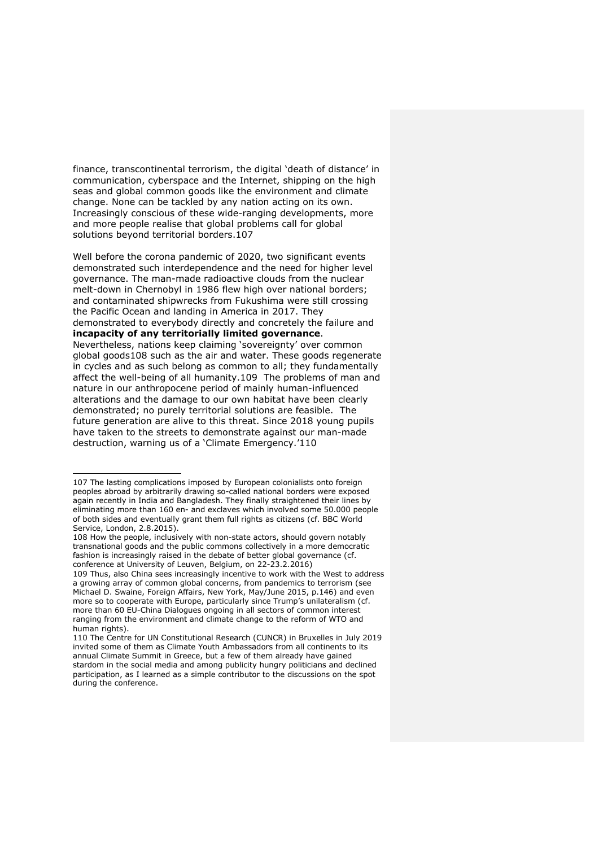finance, transcontinental terrorism, the digital 'death of distance' in communication, cyberspace and the Internet, shipping on the high seas and global common goods like the environment and climate change. None can be tackled by any nation acting on its own. Increasingly conscious of these wide-ranging developments, more and more people realise that global problems call for global solutions beyond territorial borders.107

Well before the corona pandemic of 2020, two significant events demonstrated such interdependence and the need for higher level governance. The man-made radioactive clouds from the nuclear melt-down in Chernobyl in 1986 flew high over national borders; and contaminated shipwrecks from Fukushima were still crossing the Pacific Ocean and landing in America in 2017. They demonstrated to everybody directly and concretely the failure and **incapacity of any territorially limited governance**. Nevertheless, nations keep claiming 'sovereignty' over common global goods108 such as the air and water. These goods regenerate in cycles and as such belong as common to all; they fundamentally affect the well-being of all humanity.109 The problems of man and nature in our anthropocene period of mainly human-influenced alterations and the damage to our own habitat have been clearly demonstrated; no purely territorial solutions are feasible. The future generation are alive to this threat. Since 2018 young pupils have taken to the streets to demonstrate against our man-made destruction, warning us of a 'Climate Emergency.'110

<sup>107</sup> The lasting complications imposed by European colonialists onto foreign peoples abroad by arbitrarily drawing so-called national borders were exposed again recently in India and Bangladesh. They finally straightened their lines by eliminating more than 160 en- and exclaves which involved some 50.000 people of both sides and eventually grant them full rights as citizens (cf. BBC World Service, London, 2.8.2015).

<sup>108</sup> How the people, inclusively with non-state actors, should govern notably transnational goods and the public commons collectively in a more democratic fashion is increasingly raised in the debate of better global governance (cf. conference at University of Leuven, Belgium, on 22-23.2.2016)

<sup>109</sup> Thus, also China sees increasingly incentive to work with the West to address a growing array of common global concerns, from pandemics to terrorism (see Michael D. Swaine, Foreign Affairs, New York, May/June 2015, p.146) and even more so to cooperate with Europe, particularly since Trump's unilateralism (cf. more than 60 EU-China Dialogues ongoing in all sectors of common interest ranging from the environment and climate change to the reform of WTO and human rights).

<sup>110</sup> The Centre for UN Constitutional Research (CUNCR) in Bruxelles in July 2019 invited some of them as Climate Youth Ambassadors from all continents to its annual Climate Summit in Greece, but a few of them already have gained stardom in the social media and among publicity hungry politicians and declined participation, as I learned as a simple contributor to the discussions on the spot during the conference.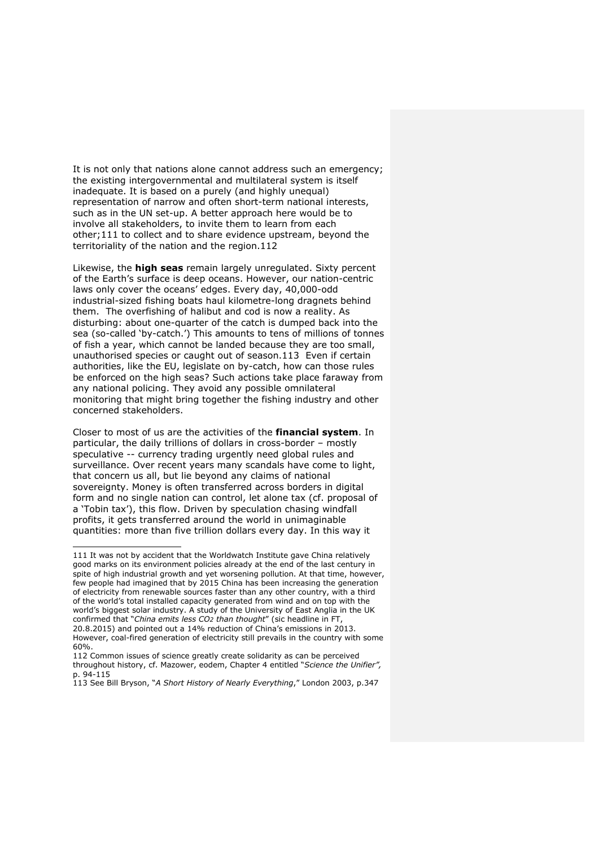It is not only that nations alone cannot address such an emergency; the existing intergovernmental and multilateral system is itself inadequate. It is based on a purely (and highly unequal) representation of narrow and often short-term national interests, such as in the UN set-up. A better approach here would be to involve all stakeholders, to invite them to learn from each other;111 to collect and to share evidence upstream, beyond the territoriality of the nation and the region.112

Likewise, the **high seas** remain largely unregulated. Sixty percent of the Earth's surface is deep oceans. However, our nation-centric laws only cover the oceans' edges. Every day, 40,000-odd industrial-sized fishing boats haul kilometre-long dragnets behind them. The overfishing of halibut and cod is now a reality. As disturbing: about one-quarter of the catch is dumped back into the sea (so-called 'by-catch.') This amounts to tens of millions of tonnes of fish a year, which cannot be landed because they are too small, unauthorised species or caught out of season.113 Even if certain authorities, like the EU, legislate on by-catch, how can those rules be enforced on the high seas? Such actions take place faraway from any national policing. They avoid any possible omnilateral monitoring that might bring together the fishing industry and other concerned stakeholders.

Closer to most of us are the activities of the **financial system**. In particular, the daily trillions of dollars in cross-border – mostly speculative -- currency trading urgently need global rules and surveillance. Over recent years many scandals have come to light, that concern us all, but lie beyond any claims of national sovereignty. Money is often transferred across borders in digital form and no single nation can control, let alone tax (cf. proposal of a 'Tobin tax'), this flow. Driven by speculation chasing windfall profits, it gets transferred around the world in unimaginable quantities: more than five trillion dollars every day. In this way it

<sup>111</sup> It was not by accident that the Worldwatch Institute gave China relatively good marks on its environment policies already at the end of the last century in spite of high industrial growth and yet worsening pollution. At that time, however, few people had imagined that by 2015 China has been increasing the generation of electricity from renewable sources faster than any other country, with a third of the world's total installed capacity generated from wind and on top with the world's biggest solar industry. A study of the University of East Anglia in the UK confirmed that "*China emits less CO2 than thought*" (sic headline in FT, 20.8.2015) and pointed out a 14% reduction of China's emissions in 2013. However, coal-fired generation of electricity still prevails in the country with some 60%.

<sup>112</sup> Common issues of science greatly create solidarity as can be perceived throughout history, cf. Mazower, eodem, Chapter 4 entitled "*Science the Unifier",*  p. 94-115

<sup>113</sup> See Bill Bryson, "*A Short History of Nearly Everything*," London 2003, p.347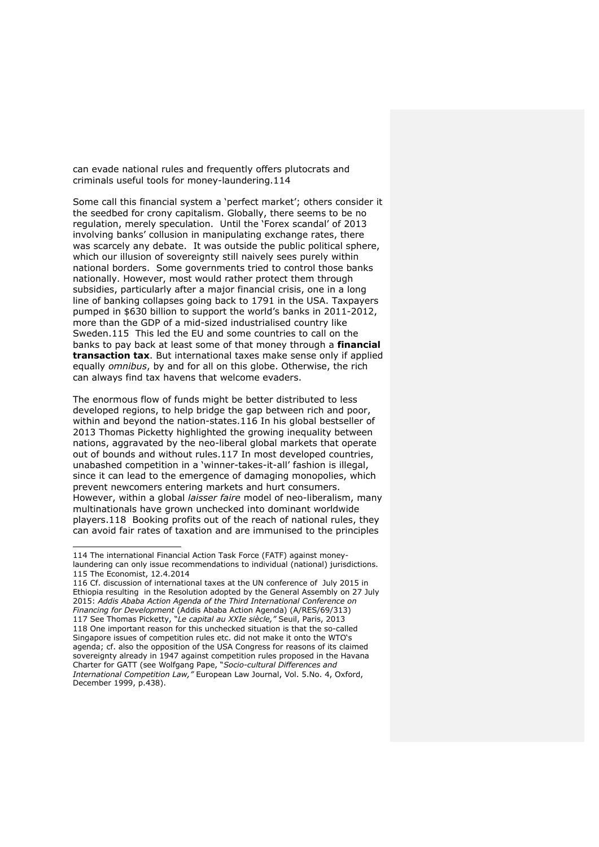can evade national rules and frequently offers plutocrats and criminals useful tools for money-laundering.114

Some call this financial system a 'perfect market'; others consider it the seedbed for crony capitalism. Globally, there seems to be no regulation, merely speculation. Until the 'Forex scandal' of 2013 involving banks' collusion in manipulating exchange rates, there was scarcely any debate. It was outside the public political sphere, which our illusion of sovereignty still naively sees purely within national borders. Some governments tried to control those banks nationally. However, most would rather protect them through subsidies, particularly after a major financial crisis, one in a long line of banking collapses going back to 1791 in the USA. Taxpayers pumped in \$630 billion to support the world's banks in 2011-2012, more than the GDP of a mid-sized industrialised country like Sweden.115 This led the EU and some countries to call on the banks to pay back at least some of that money through a **financial transaction tax**. But international taxes make sense only if applied equally *omnibus*, by and for all on this globe. Otherwise, the rich can always find tax havens that welcome evaders.

The enormous flow of funds might be better distributed to less developed regions, to help bridge the gap between rich and poor, within and beyond the nation-states.116 In his global bestseller of 2013 Thomas Picketty highlighted the growing inequality between nations, aggravated by the neo-liberal global markets that operate out of bounds and without rules.117 In most developed countries, unabashed competition in a 'winner-takes-it-all' fashion is illegal, since it can lead to the emergence of damaging monopolies, which prevent newcomers entering markets and hurt consumers. However, within a global *laisser faire* model of neo-liberalism, many multinationals have grown unchecked into dominant worldwide players.118 Booking profits out of the reach of national rules, they can avoid fair rates of taxation and are immunised to the principles

<sup>114</sup> The international Financial Action Task Force (FATF) against moneylaundering can only issue recommendations to individual (national) jurisdictions. 115 The Economist, 12.4.2014

<sup>116</sup> Cf. discussion of international taxes at the UN conference of July 2015 in Ethiopia resulting in the Resolution adopted by the General Assembly on 27 July 2015: *Addis Ababa Action Agenda of the Third International Conference on Financing for Development* (Addis Ababa Action Agenda) (A/RES/69/313) 117 See Thomas Picketty, "*Le capital au XXIe siècle,"* Seuil, Paris, 2013 118 One important reason for this unchecked situation is that the so-called Singapore issues of competition rules etc. did not make it onto the WTO's agenda; cf. also the opposition of the USA Congress for reasons of its claimed sovereignty already in 1947 against competition rules proposed in the Havana Charter for GATT (see Wolfgang Pape, "*Socio-cultural Differences and International Competition Law,"* European Law Journal, Vol. 5.No. 4, Oxford, December 1999, p.438).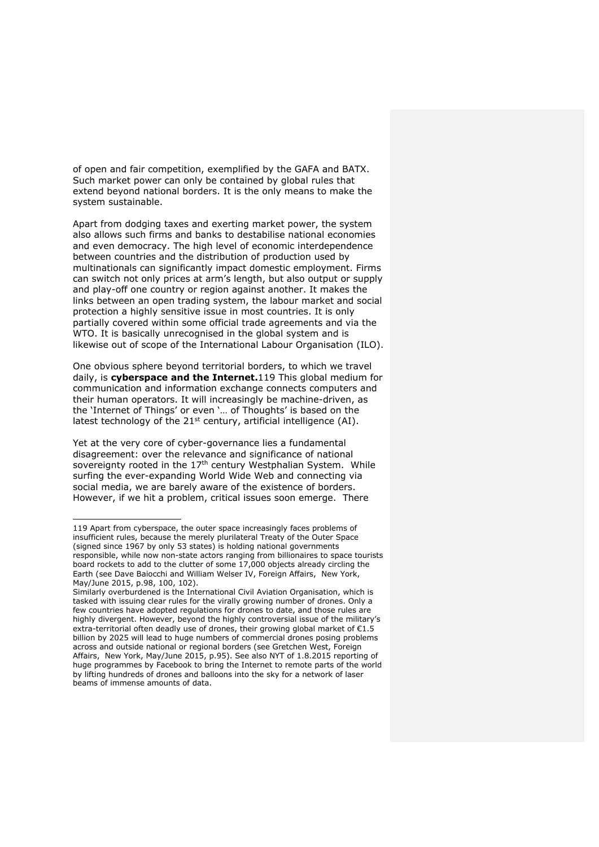of open and fair competition, exemplified by the GAFA and BATX. Such market power can only be contained by global rules that extend beyond national borders. It is the only means to make the system sustainable.

Apart from dodging taxes and exerting market power, the system also allows such firms and banks to destabilise national economies and even democracy. The high level of economic interdependence between countries and the distribution of production used by multinationals can significantly impact domestic employment. Firms can switch not only prices at arm's length, but also output or supply and play-off one country or region against another. It makes the links between an open trading system, the labour market and social protection a highly sensitive issue in most countries. It is only partially covered within some official trade agreements and via the WTO. It is basically unrecognised in the global system and is likewise out of scope of the International Labour Organisation (ILO).

One obvious sphere beyond territorial borders, to which we travel daily, is **cyberspace and the Internet.**119 This global medium for communication and information exchange connects computers and their human operators. It will increasingly be machine-driven, as the 'Internet of Things' or even '… of Thoughts' is based on the latest technology of the  $21^{st}$  century, artificial intelligence (AI).

Yet at the very core of cyber-governance lies a fundamental disagreement: over the relevance and significance of national sovereignty rooted in the 17<sup>th</sup> century Westphalian System. While surfing the ever-expanding World Wide Web and connecting via social media, we are barely aware of the existence of borders. However, if we hit a problem, critical issues soon emerge. There

<sup>119</sup> Apart from cyberspace, the outer space increasingly faces problems of insufficient rules, because the merely plurilateral Treaty of the Outer Space (signed since 1967 by only 53 states) is holding national governments responsible, while now non-state actors ranging from billionaires to space tourists board rockets to add to the clutter of some 17,000 objects already circling the Earth (see Dave Baiocchi and William Welser IV, Foreign Affairs, New York, May/June 2015, p.98, 100, 102).

Similarly overburdened is the International Civil Aviation Organisation, which is tasked with issuing clear rules for the virally growing number of drones. Only a few countries have adopted regulations for drones to date, and those rules are highly divergent. However, beyond the highly controversial issue of the military's extra-territorial often deadly use of drones, their growing global market of €1.5 billion by 2025 will lead to huge numbers of commercial drones posing problems across and outside national or regional borders (see Gretchen West, Foreign Affairs, New York, May/June 2015, p.95). See also NYT of 1.8.2015 reporting of huge programmes by Facebook to bring the Internet to remote parts of the world by lifting hundreds of drones and balloons into the sky for a network of laser beams of immense amounts of data.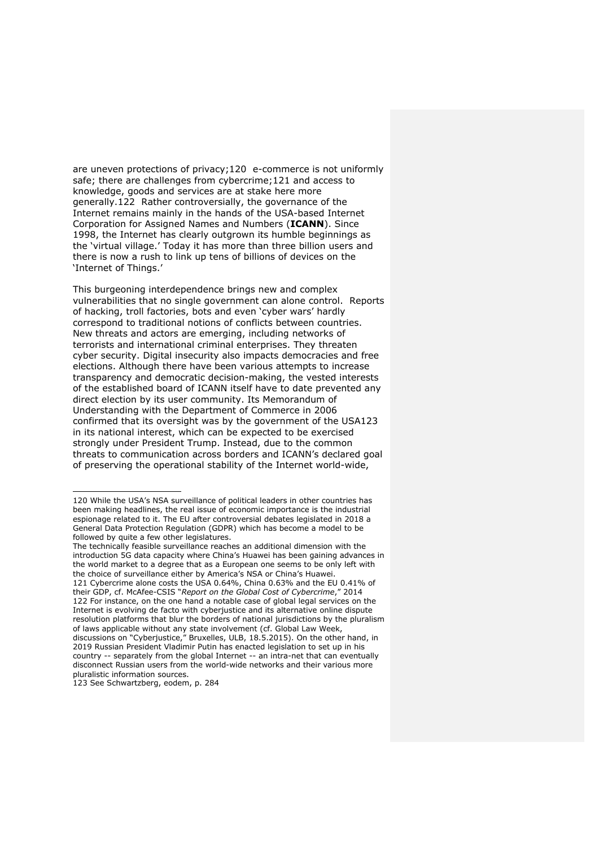are uneven protections of privacy;120 e-commerce is not uniformly safe; there are challenges from cybercrime;121 and access to knowledge, goods and services are at stake here more generally.122 Rather controversially, the governance of the Internet remains mainly in the hands of the USA-based Internet Corporation for Assigned Names and Numbers (**ICANN**). Since 1998, the Internet has clearly outgrown its humble beginnings as the 'virtual village.' Today it has more than three billion users and there is now a rush to link up tens of billions of devices on the 'Internet of Things.'

This burgeoning interdependence brings new and complex vulnerabilities that no single government can alone control. Reports of hacking, troll factories, bots and even 'cyber wars' hardly correspond to traditional notions of conflicts between countries. New threats and actors are emerging, including networks of terrorists and international criminal enterprises. They threaten cyber security. Digital insecurity also impacts democracies and free elections. Although there have been various attempts to increase transparency and democratic decision-making, the vested interests of the established board of ICANN itself have to date prevented any direct election by its user community. Its Memorandum of Understanding with the Department of Commerce in 2006 confirmed that its oversight was by the government of the USA123 in its national interest, which can be expected to be exercised strongly under President Trump. Instead, due to the common threats to communication across borders and ICANN's declared goal of preserving the operational stability of the Internet world-wide,

123 See Schwartzberg, eodem, p. 284

<sup>120</sup> While the USA's NSA surveillance of political leaders in other countries has been making headlines, the real issue of economic importance is the industrial espionage related to it. The EU after controversial debates legislated in 2018 a General Data Protection Regulation (GDPR) which has become a model to be followed by quite a few other legislatures.

The technically feasible surveillance reaches an additional dimension with the introduction 5G data capacity where China's Huawei has been gaining advances in the world market to a degree that as a European one seems to be only left with the choice of surveillance either by America's NSA or China's Huawei. 121 Cybercrime alone costs the USA 0.64%, China 0.63% and the EU 0.41% of their GDP, cf. McAfee-CSIS "*Report on the Global Cost of Cybercrime*," 2014 122 For instance, on the one hand a notable case of global legal services on the Internet is evolving de facto with cyberjustice and its alternative online dispute resolution platforms that blur the borders of national jurisdictions by the pluralism of laws applicable without any state involvement (cf. Global Law Week, discussions on "Cyberjustice," Bruxelles, ULB, 18.5.2015). On the other hand, in 2019 Russian President Vladimir Putin has enacted legislation to set up in his country -- separately from the global Internet -- an intra-net that can eventually disconnect Russian users from the world-wide networks and their various more pluralistic information sources.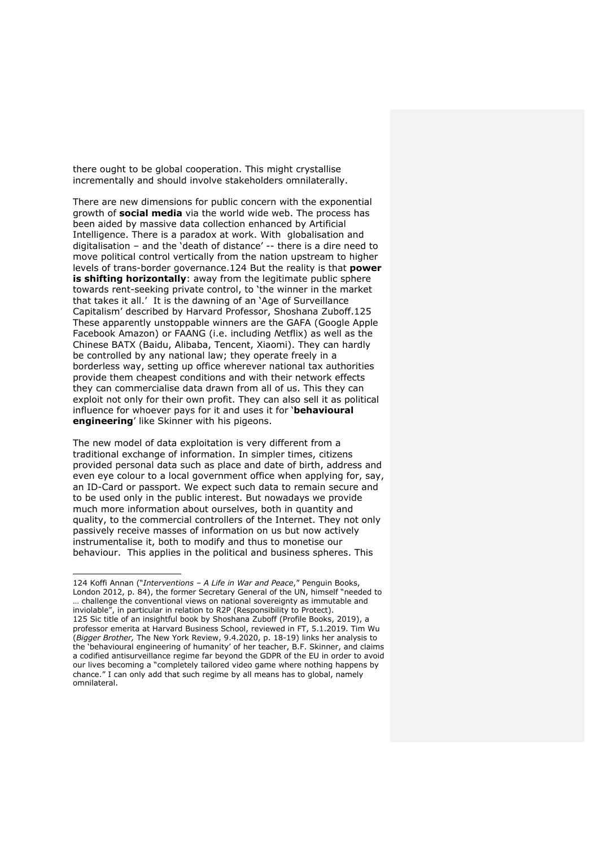there ought to be global cooperation. This might crystallise incrementally and should involve stakeholders omnilaterally.

There are new dimensions for public concern with the exponential growth of **social media** via the world wide web. The process has been aided by massive data collection enhanced by Artificial Intelligence. There is a paradox at work. With globalisation and digitalisation – and the 'death of distance' -- there is a dire need to move political control vertically from the nation upstream to higher levels of trans-border governance.124 But the reality is that **power is shifting horizontally**: away from the legitimate public sphere towards rent-seeking private control, to 'the winner in the market that takes it all.' It is the dawning of an 'Age of Surveillance Capitalism' described by Harvard Professor, Shoshana Zuboff.125 These apparently unstoppable winners are the GAFA (Google Apple Facebook Amazon) or FAANG (i.e. including *N*etflix) as well as the Chinese BATX (Baidu, Alibaba, Tencent, Xiaomi). They can hardly be controlled by any national law; they operate freely in a borderless way, setting up office wherever national tax authorities provide them cheapest conditions and with their network effects they can commercialise data drawn from all of us. This they can exploit not only for their own profit. They can also sell it as political influence for whoever pays for it and uses it for '**behavioural engineering**' like Skinner with his pigeons.

The new model of data exploitation is very different from a traditional exchange of information. In simpler times, citizens provided personal data such as place and date of birth, address and even eye colour to a local government office when applying for, say, an ID-Card or passport. We expect such data to remain secure and to be used only in the public interest. But nowadays we provide much more information about ourselves, both in quantity and quality, to the commercial controllers of the Internet. They not only passively receive masses of information on us but now actively instrumentalise it, both to modify and thus to monetise our behaviour. This applies in the political and business spheres. This

<sup>124</sup> Koffi Annan ("*Interventions – A Life in War and Peace*," Penguin Books, London 2012, p. 84), the former Secretary General of the UN, himself "needed to … challenge the conventional views on national sovereignty as immutable and inviolable", in particular in relation to R2P (Responsibility to Protect). 125 Sic title of an insightful book by Shoshana Zuboff (Profile Books, 2019), a professor emerita at Harvard Business School, reviewed in FT, 5.1.2019. Tim Wu (*Bigger Brother,* The New York Review, 9.4.2020, p. 18-19) links her analysis to the 'behavioural engineering of humanity' of her teacher, B.F. Skinner, and claims a codified antisurveillance regime far beyond the GDPR of the EU in order to avoid our lives becoming a "completely tailored video game where nothing happens by chance." I can only add that such regime by all means has to global, namely omnilateral.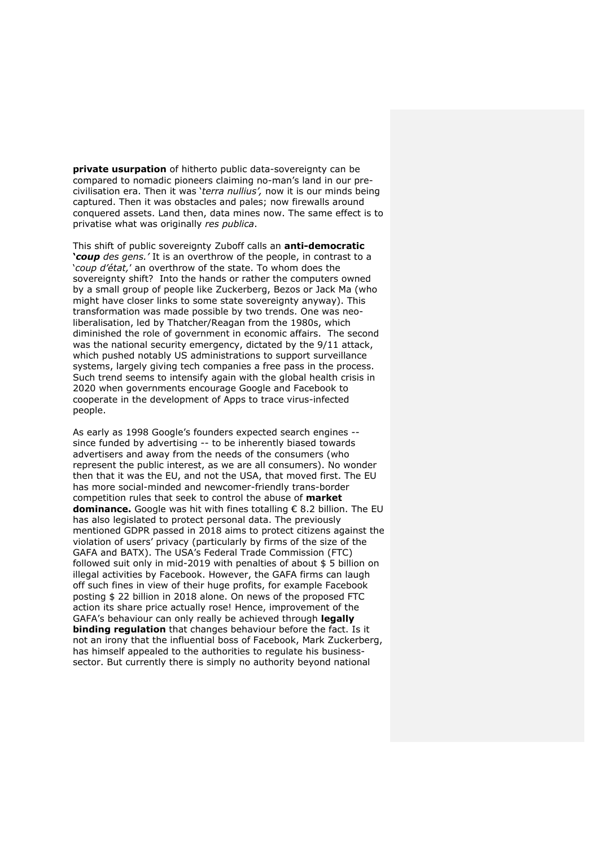**private usurpation** of hitherto public data-sovereignty can be compared to nomadic pioneers claiming no-man's land in our precivilisation era. Then it was '*terra nullius',* now it is our minds being captured. Then it was obstacles and pales; now firewalls around conquered assets. Land then, data mines now. The same effect is to privatise what was originally *res publica*.

This shift of public sovereignty Zuboff calls an **anti-democratic '***coup des gens.'* It is an overthrow of the people, in contrast to a '*coup d'état,*' an overthrow of the state. To whom does the sovereignty shift? Into the hands or rather the computers owned by a small group of people like Zuckerberg, Bezos or Jack Ma (who might have closer links to some state sovereignty anyway). This transformation was made possible by two trends. One was neoliberalisation, led by Thatcher/Reagan from the 1980s, which diminished the role of government in economic affairs. The second was the national security emergency, dictated by the 9/11 attack, which pushed notably US administrations to support surveillance systems, largely giving tech companies a free pass in the process. Such trend seems to intensify again with the global health crisis in 2020 when governments encourage Google and Facebook to cooperate in the development of Apps to trace virus-infected people.

As early as 1998 Google's founders expected search engines - since funded by advertising -- to be inherently biased towards advertisers and away from the needs of the consumers (who represent the public interest, as we are all consumers). No wonder then that it was the EU, and not the USA, that moved first. The EU has more social-minded and newcomer-friendly trans-border competition rules that seek to control the abuse of **market dominance.** Google was hit with fines totalling € 8.2 billion. The EU has also legislated to protect personal data. The previously mentioned GDPR passed in 2018 aims to protect citizens against the violation of users' privacy (particularly by firms of the size of the GAFA and BATX). The USA's Federal Trade Commission (FTC) followed suit only in mid-2019 with penalties of about \$ 5 billion on illegal activities by Facebook. However, the GAFA firms can laugh off such fines in view of their huge profits, for example Facebook posting \$ 22 billion in 2018 alone. On news of the proposed FTC action its share price actually rose! Hence, improvement of the GAFA's behaviour can only really be achieved through **legally binding regulation** that changes behaviour before the fact. Is it not an irony that the influential boss of Facebook, Mark Zuckerberg, has himself appealed to the authorities to regulate his businesssector. But currently there is simply no authority beyond national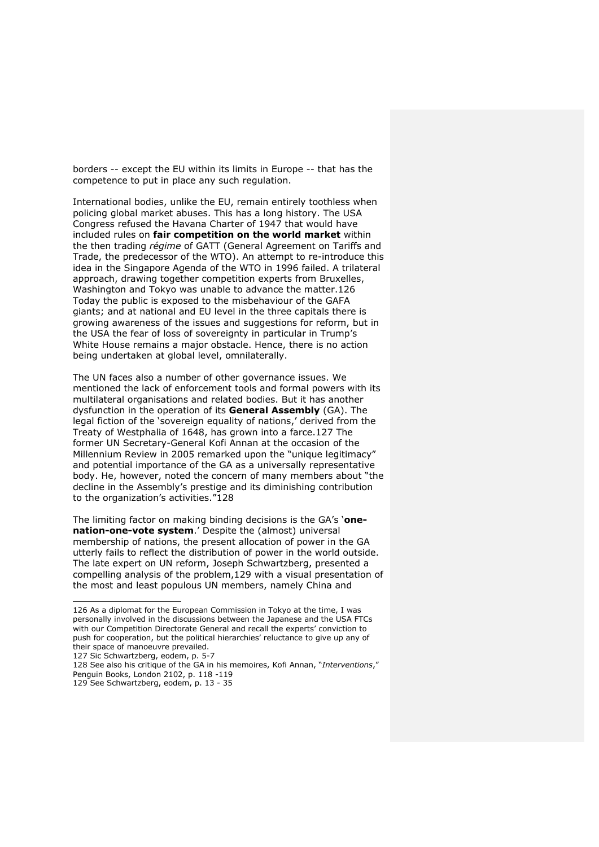borders -- except the EU within its limits in Europe -- that has the competence to put in place any such regulation.

International bodies, unlike the EU, remain entirely toothless when policing global market abuses. This has a long history. The USA Congress refused the Havana Charter of 1947 that would have included rules on **fair competition on the world market** within the then trading *régime* of GATT (General Agreement on Tariffs and Trade, the predecessor of the WTO). An attempt to re-introduce this idea in the Singapore Agenda of the WTO in 1996 failed. A trilateral approach, drawing together competition experts from Bruxelles, Washington and Tokyo was unable to advance the matter.126 Today the public is exposed to the misbehaviour of the GAFA giants; and at national and EU level in the three capitals there is growing awareness of the issues and suggestions for reform, but in the USA the fear of loss of sovereignty in particular in Trump's White House remains a major obstacle. Hence, there is no action being undertaken at global level, omnilaterally.

The UN faces also a number of other governance issues. We mentioned the lack of enforcement tools and formal powers with its multilateral organisations and related bodies. But it has another dysfunction in the operation of its **General Assembly** (GA). The legal fiction of the 'sovereign equality of nations,' derived from the Treaty of Westphalia of 1648, has grown into a farce.127 The former UN Secretary-General Kofi Annan at the occasion of the Millennium Review in 2005 remarked upon the "unique legitimacy" and potential importance of the GA as a universally representative body. He, however, noted the concern of many members about "the decline in the Assembly's prestige and its diminishing contribution to the organization's activities."128

The limiting factor on making binding decisions is the GA's '**onenation-one-vote system**.' Despite the (almost) universal membership of nations, the present allocation of power in the GA utterly fails to reflect the distribution of power in the world outside. The late expert on UN reform, Joseph Schwartzberg, presented a compelling analysis of the problem,129 with a visual presentation of the most and least populous UN members, namely China and

<sup>126</sup> As a diplomat for the European Commission in Tokyo at the time, I was personally involved in the discussions between the Japanese and the USA FTCs with our Competition Directorate General and recall the experts' conviction to push for cooperation, but the political hierarchies' reluctance to give up any of their space of manoeuvre prevailed.

<sup>127</sup> Sic Schwartzberg, eodem, p. 5-7

<sup>128</sup> See also his critique of the GA in his memoires, Kofi Annan, "*Interventions*," Penguin Books, London 2102, p. 118 -119

<sup>129</sup> See Schwartzberg, eodem, p. 13 - 35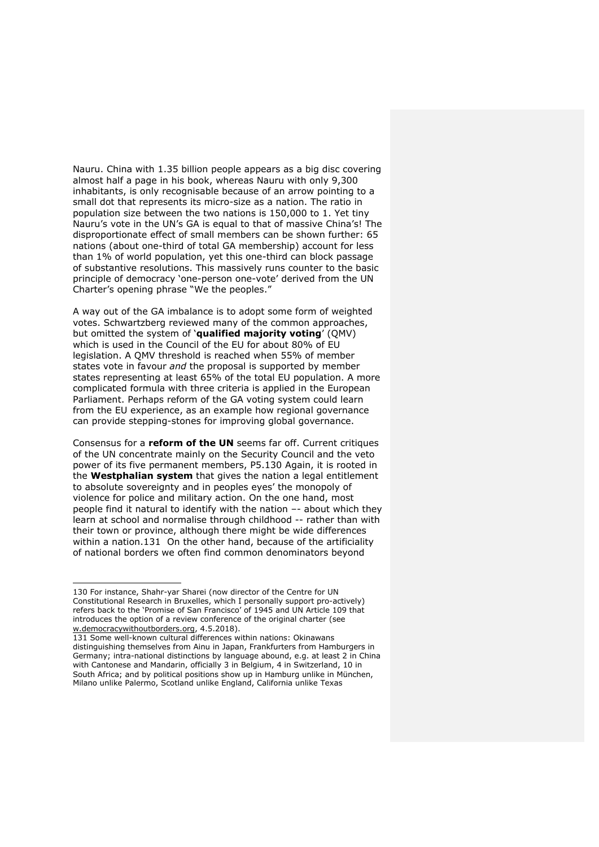Nauru. China with 1.35 billion people appears as a big disc covering almost half a page in his book, whereas Nauru with only 9,300 inhabitants, is only recognisable because of an arrow pointing to a small dot that represents its micro-size as a nation. The ratio in population size between the two nations is 150,000 to 1. Yet tiny Nauru's vote in the UN's GA is equal to that of massive China's! The disproportionate effect of small members can be shown further: 65 nations (about one-third of total GA membership) account for less than 1% of world population, yet this one-third can block passage of substantive resolutions. This massively runs counter to the basic principle of democracy 'one-person one-vote' derived from the UN Charter's opening phrase "We the peoples."

A way out of the GA imbalance is to adopt some form of weighted votes. Schwartzberg reviewed many of the common approaches, but omitted the system of '**qualified majority voting**' (QMV) which is used in the Council of the EU for about 80% of EU legislation. A QMV threshold is reached when 55% of member states vote in favour *and* the proposal is supported by member states representing at least 65% of the total EU population. A more complicated formula with three criteria is applied in the European Parliament. Perhaps reform of the GA voting system could learn from the EU experience, as an example how regional governance can provide stepping-stones for improving global governance.

Consensus for a **reform of the UN** seems far off. Current critiques of the UN concentrate mainly on the Security Council and the veto power of its five permanent members, P5.130 Again, it is rooted in the **Westphalian system** that gives the nation a legal entitlement to absolute sovereignty and in peoples eyes' the monopoly of violence for police and military action. On the one hand, most people find it natural to identify with the nation –- about which they learn at school and normalise through childhood -- rather than with their town or province, although there might be wide differences within a nation.131 On the other hand, because of the artificiality of national borders we often find common denominators beyond

<sup>130</sup> For instance, Shahr-yar Sharei (now director of the Centre for UN Constitutional Research in Bruxelles, which I personally support pro-actively) refers back to the 'Promise of San Francisco' of 1945 and UN Article 109 that introduces the option of a review conference of the original charter (see w.democracywithoutborders.org, 4.5.2018).

<sup>131</sup> Some well-known cultural differences within nations: Okinawans distinguishing themselves from Ainu in Japan, Frankfurters from Hamburgers in Germany; intra-national distinctions by language abound, e.g. at least 2 in China with Cantonese and Mandarin, officially 3 in Belgium, 4 in Switzerland, 10 in South Africa; and by political positions show up in Hamburg unlike in München, Milano unlike Palermo, Scotland unlike England, California unlike Texas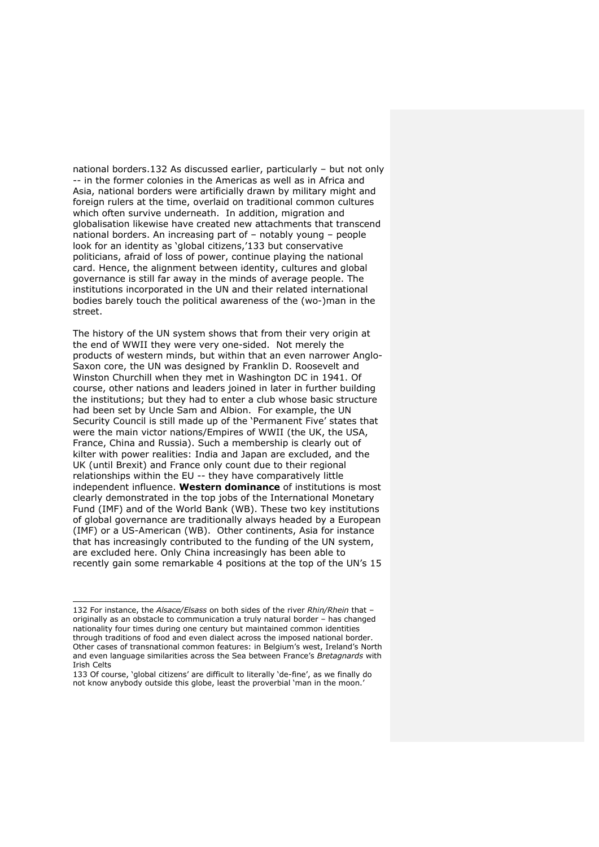national borders.132 As discussed earlier, particularly – but not only -- in the former colonies in the Americas as well as in Africa and Asia, national borders were artificially drawn by military might and foreign rulers at the time, overlaid on traditional common cultures which often survive underneath. In addition, migration and globalisation likewise have created new attachments that transcend national borders. An increasing part of – notably young – people look for an identity as 'global citizens,'133 but conservative politicians, afraid of loss of power, continue playing the national card. Hence, the alignment between identity, cultures and global governance is still far away in the minds of average people. The institutions incorporated in the UN and their related international bodies barely touch the political awareness of the (wo-)man in the street.

The history of the UN system shows that from their very origin at the end of WWII they were very one-sided. Not merely the products of western minds, but within that an even narrower Anglo-Saxon core, the UN was designed by Franklin D. Roosevelt and Winston Churchill when they met in Washington DC in 1941. Of course, other nations and leaders joined in later in further building the institutions; but they had to enter a club whose basic structure had been set by Uncle Sam and Albion. For example, the UN Security Council is still made up of the 'Permanent Five' states that were the main victor nations/Empires of WWII (the UK, the USA, France, China and Russia). Such a membership is clearly out of kilter with power realities: India and Japan are excluded, and the UK (until Brexit) and France only count due to their regional relationships within the EU -- they have comparatively little independent influence. **Western dominance** of institutions is most clearly demonstrated in the top jobs of the International Monetary Fund (IMF) and of the World Bank (WB). These two key institutions of global governance are traditionally always headed by a European (IMF) or a US-American (WB). Other continents, Asia for instance that has increasingly contributed to the funding of the UN system, are excluded here. Only China increasingly has been able to recently gain some remarkable 4 positions at the top of the UN's 15

<sup>132</sup> For instance, the *Alsace/Elsass* on both sides of the river *Rhin/Rhein* that – originally as an obstacle to communication a truly natural border – has changed nationality four times during one century but maintained common identities through traditions of food and even dialect across the imposed national border. Other cases of transnational common features: in Belgium's west, Ireland's North and even language similarities across the Sea between France's *Bretagnards* with Irish Celts

<sup>133</sup> Of course, 'global citizens' are difficult to literally 'de-fine', as we finally do not know anybody outside this globe, least the proverbial 'man in the moon.'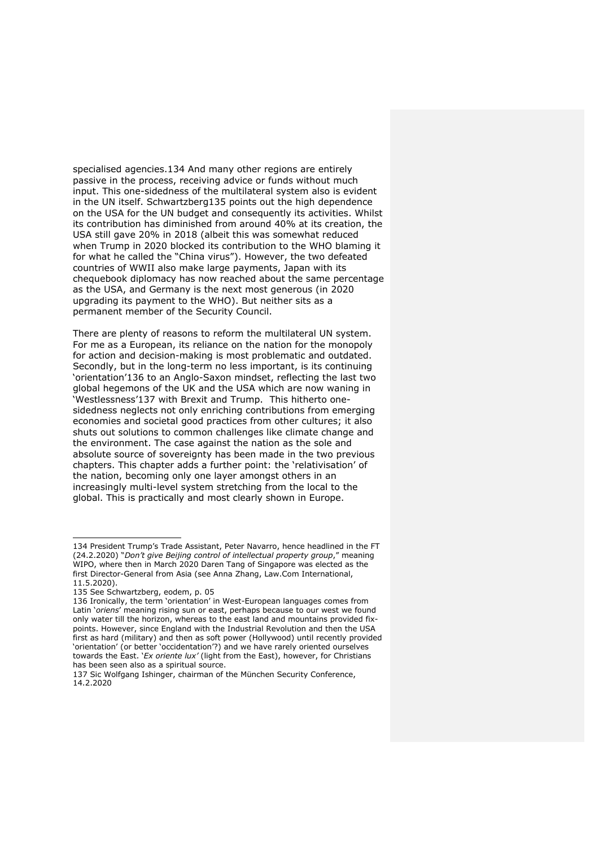specialised agencies.134 And many other regions are entirely passive in the process, receiving advice or funds without much input. This one-sidedness of the multilateral system also is evident in the UN itself. Schwartzberg135 points out the high dependence on the USA for the UN budget and consequently its activities. Whilst its contribution has diminished from around 40% at its creation, the USA still gave 20% in 2018 (albeit this was somewhat reduced when Trump in 2020 blocked its contribution to the WHO blaming it for what he called the "China virus"). However, the two defeated countries of WWII also make large payments, Japan with its chequebook diplomacy has now reached about the same percentage as the USA, and Germany is the next most generous (in 2020 upgrading its payment to the WHO). But neither sits as a permanent member of the Security Council.

There are plenty of reasons to reform the multilateral UN system. For me as a European, its reliance on the nation for the monopoly for action and decision-making is most problematic and outdated. Secondly, but in the long-term no less important, is its continuing 'orientation'136 to an Anglo-Saxon mindset, reflecting the last two global hegemons of the UK and the USA which are now waning in 'Westlessness'137 with Brexit and Trump. This hitherto onesidedness neglects not only enriching contributions from emerging economies and societal good practices from other cultures; it also shuts out solutions to common challenges like climate change and the environment. The case against the nation as the sole and absolute source of sovereignty has been made in the two previous chapters. This chapter adds a further point: the 'relativisation' of the nation, becoming only one layer amongst others in an increasingly multi-level system stretching from the local to the global. This is practically and most clearly shown in Europe.

<sup>134</sup> President Trump's Trade Assistant, Peter Navarro, hence headlined in the FT (24.2.2020) "*Don't give Beijing control of intellectual property group*," meaning WIPO, where then in March 2020 Daren Tang of Singapore was elected as the first Director-General from Asia (see Anna Zhang, Law.Com International, 11.5.2020).

<sup>135</sup> See Schwartzberg, eodem, p. 05

<sup>136</sup> Ironically, the term 'orientation' in West-European languages comes from Latin '*oriens*' meaning rising sun or east, perhaps because to our west we found only water till the horizon, whereas to the east land and mountains provided fixpoints. However, since England with the Industrial Revolution and then the USA first as hard (military) and then as soft power (Hollywood) until recently provided 'orientation' (or better 'occidentation'?) and we have rarely oriented ourselves towards the East. '*Ex oriente lux'* (light from the East), however, for Christians has been seen also as a spiritual source.

<sup>137</sup> Sic Wolfgang Ishinger, chairman of the München Security Conference, 14.2.2020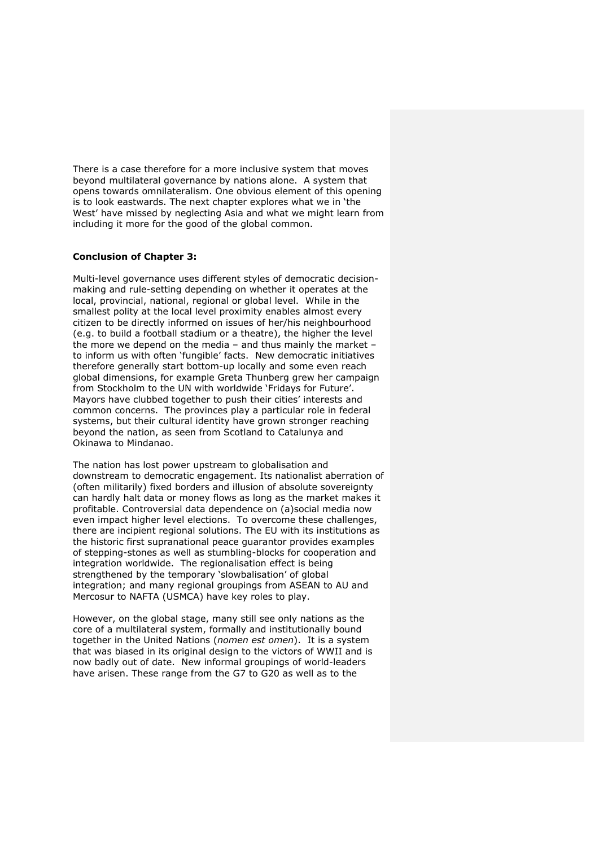There is a case therefore for a more inclusive system that moves beyond multilateral governance by nations alone. A system that opens towards omnilateralism. One obvious element of this opening is to look eastwards. The next chapter explores what we in 'the West' have missed by neglecting Asia and what we might learn from including it more for the good of the global common.

# **Conclusion of Chapter 3:**

Multi-level governance uses different styles of democratic decisionmaking and rule-setting depending on whether it operates at the local, provincial, national, regional or global level. While in the smallest polity at the local level proximity enables almost every citizen to be directly informed on issues of her/his neighbourhood (e.g. to build a football stadium or a theatre), the higher the level the more we depend on the media – and thus mainly the market – to inform us with often 'fungible' facts. New democratic initiatives therefore generally start bottom-up locally and some even reach global dimensions, for example Greta Thunberg grew her campaign from Stockholm to the UN with worldwide 'Fridays for Future'. Mayors have clubbed together to push their cities' interests and common concerns. The provinces play a particular role in federal systems, but their cultural identity have grown stronger reaching beyond the nation, as seen from Scotland to Catalunya and Okinawa to Mindanao.

The nation has lost power upstream to globalisation and downstream to democratic engagement. Its nationalist aberration of (often militarily) fixed borders and illusion of absolute sovereignty can hardly halt data or money flows as long as the market makes it profitable. Controversial data dependence on (a)social media now even impact higher level elections. To overcome these challenges, there are incipient regional solutions. The EU with its institutions as the historic first supranational peace guarantor provides examples of stepping-stones as well as stumbling-blocks for cooperation and integration worldwide. The regionalisation effect is being strengthened by the temporary 'slowbalisation' of global integration; and many regional groupings from ASEAN to AU and Mercosur to NAFTA (USMCA) have key roles to play.

However, on the global stage, many still see only nations as the core of a multilateral system, formally and institutionally bound together in the United Nations (*nomen est omen*). It is a system that was biased in its original design to the victors of WWII and is now badly out of date. New informal groupings of world-leaders have arisen. These range from the G7 to G20 as well as to the